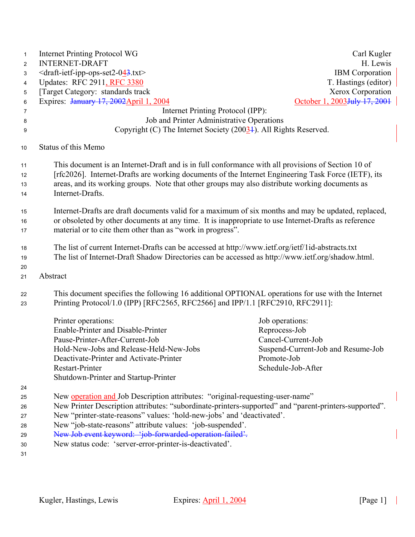| $\mathbf{1}$<br>$\overline{2}$ | <b>Internet Printing Protocol WG</b><br><b>INTERNET-DRAFT</b>                                                                                                                                                                                                             | Carl Kugler<br>H. Lewis                  |  |  |  |  |
|--------------------------------|---------------------------------------------------------------------------------------------------------------------------------------------------------------------------------------------------------------------------------------------------------------------------|------------------------------------------|--|--|--|--|
| 3                              | $\le$ draft-ietf-ipp-ops-set2-043.txt>                                                                                                                                                                                                                                    | <b>IBM</b> Corporation                   |  |  |  |  |
| 4                              | Updates: RFC 2911, RFC 3380                                                                                                                                                                                                                                               | T. Hastings (editor)                     |  |  |  |  |
| 5                              | [Target Category: standards track]                                                                                                                                                                                                                                        | Xerox Corporation                        |  |  |  |  |
| 6                              | Expires: January 17, 2002 April 1, 2004                                                                                                                                                                                                                                   | October 1, 2003 <del>July 17, 2001</del> |  |  |  |  |
| 7                              | Internet Printing Protocol (IPP):                                                                                                                                                                                                                                         |                                          |  |  |  |  |
| 8                              | Job and Printer Administrative Operations                                                                                                                                                                                                                                 |                                          |  |  |  |  |
| 9                              | Copyright (C) The Internet Society $(20034)$ . All Rights Reserved.                                                                                                                                                                                                       |                                          |  |  |  |  |
| 10                             | Status of this Memo                                                                                                                                                                                                                                                       |                                          |  |  |  |  |
| 11                             | This document is an Internet-Draft and is in full conformance with all provisions of Section 10 of                                                                                                                                                                        |                                          |  |  |  |  |
| 12                             | [rfc2026]. Internet-Drafts are working documents of the Internet Engineering Task Force (IETF), its                                                                                                                                                                       |                                          |  |  |  |  |
| 13                             | areas, and its working groups. Note that other groups may also distribute working documents as                                                                                                                                                                            |                                          |  |  |  |  |
| 14                             | Internet-Drafts.                                                                                                                                                                                                                                                          |                                          |  |  |  |  |
| 15<br>16<br>17                 | Internet-Drafts are draft documents valid for a maximum of six months and may be updated, replaced,<br>or obsoleted by other documents at any time. It is inappropriate to use Internet-Drafts as reference<br>material or to cite them other than as "work in progress". |                                          |  |  |  |  |
|                                |                                                                                                                                                                                                                                                                           |                                          |  |  |  |  |
| 18                             | The list of current Internet-Drafts can be accessed at http://www.ietf.org/ietf/1id-abstracts.txt                                                                                                                                                                         |                                          |  |  |  |  |
| 19                             | The list of Internet-Draft Shadow Directories can be accessed as http://www.ietf.org/shadow.html.                                                                                                                                                                         |                                          |  |  |  |  |
| 20                             |                                                                                                                                                                                                                                                                           |                                          |  |  |  |  |
| 21                             | Abstract                                                                                                                                                                                                                                                                  |                                          |  |  |  |  |
| 22<br>23                       | This document specifies the following 16 additional OPTIONAL operations for use with the Internet<br>Printing Protocol/1.0 (IPP) [RFC2565, RFC2566] and IPP/1.1 [RFC2910, RFC2911]:                                                                                       |                                          |  |  |  |  |
|                                | Printer operations:                                                                                                                                                                                                                                                       | Job operations:                          |  |  |  |  |
|                                | Enable-Printer and Disable-Printer                                                                                                                                                                                                                                        | Reprocess-Job                            |  |  |  |  |
|                                | Pause-Printer-After-Current-Job                                                                                                                                                                                                                                           | Cancel-Current-Job                       |  |  |  |  |
|                                | Hold-New-Jobs and Release-Held-New-Jobs                                                                                                                                                                                                                                   | Suspend-Current-Job and Resume-Job       |  |  |  |  |
|                                | Deactivate-Printer and Activate-Printer                                                                                                                                                                                                                                   | Promote-Job                              |  |  |  |  |
|                                | Restart-Printer                                                                                                                                                                                                                                                           | Schedule-Job-After                       |  |  |  |  |
|                                | Shutdown-Printer and Startup-Printer                                                                                                                                                                                                                                      |                                          |  |  |  |  |
| 24                             |                                                                                                                                                                                                                                                                           |                                          |  |  |  |  |
| 25                             | New <b>operation and</b> Job Description attributes: "original-requesting-user-name"                                                                                                                                                                                      |                                          |  |  |  |  |
| 26                             | New Printer Description attributes: "subordinate-printers-supported" and "parent-printers-supported".                                                                                                                                                                     |                                          |  |  |  |  |
| 27                             | New "printer-state-reasons" values: 'hold-new-jobs' and 'deactivated'.                                                                                                                                                                                                    |                                          |  |  |  |  |
| 28                             | New "job-state-reasons" attribute values: 'job-suspended'.                                                                                                                                                                                                                |                                          |  |  |  |  |
| 29                             | New Job event keyword: 'job-forwarded-operation-failed'.                                                                                                                                                                                                                  |                                          |  |  |  |  |
| 30                             | New status code: 'server-error-printer-is-deactivated'.                                                                                                                                                                                                                   |                                          |  |  |  |  |
| 31                             |                                                                                                                                                                                                                                                                           |                                          |  |  |  |  |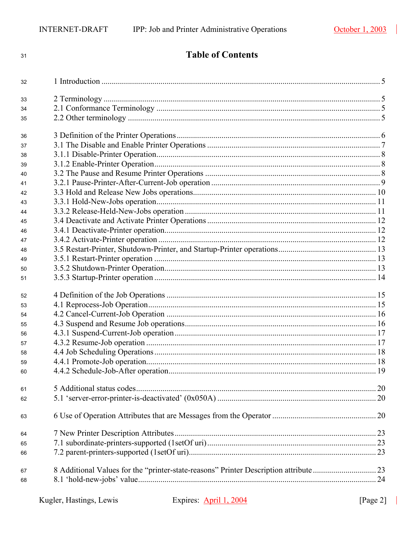| 31 | <b>Table of Contents</b> |  |  |  |  |
|----|--------------------------|--|--|--|--|
| 32 |                          |  |  |  |  |
| 33 |                          |  |  |  |  |
| 34 |                          |  |  |  |  |
| 35 |                          |  |  |  |  |
| 36 |                          |  |  |  |  |
| 37 |                          |  |  |  |  |
| 38 |                          |  |  |  |  |
| 39 |                          |  |  |  |  |
| 40 |                          |  |  |  |  |
| 41 |                          |  |  |  |  |
| 42 |                          |  |  |  |  |
| 43 |                          |  |  |  |  |
| 44 |                          |  |  |  |  |
| 45 |                          |  |  |  |  |
| 46 |                          |  |  |  |  |
| 47 |                          |  |  |  |  |
| 48 |                          |  |  |  |  |
| 49 |                          |  |  |  |  |
| 50 |                          |  |  |  |  |
| 51 |                          |  |  |  |  |
| 52 |                          |  |  |  |  |
| 53 |                          |  |  |  |  |
| 54 |                          |  |  |  |  |
| 55 |                          |  |  |  |  |
| 56 |                          |  |  |  |  |
| 57 |                          |  |  |  |  |
| 58 |                          |  |  |  |  |
| 59 |                          |  |  |  |  |
| 60 |                          |  |  |  |  |
| 61 |                          |  |  |  |  |
| 62 |                          |  |  |  |  |
| 63 |                          |  |  |  |  |
| 64 |                          |  |  |  |  |
| 65 |                          |  |  |  |  |
| 66 |                          |  |  |  |  |
| 67 |                          |  |  |  |  |
| 68 |                          |  |  |  |  |
|    |                          |  |  |  |  |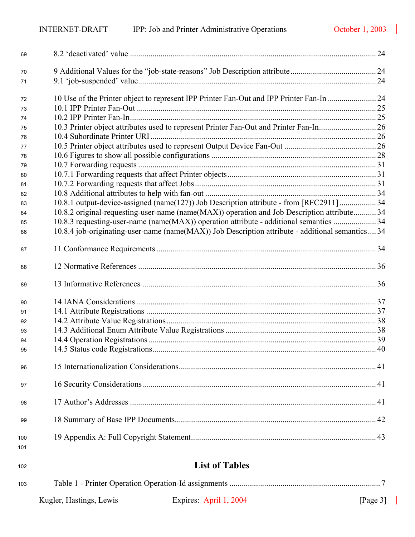| 69         |                                                                                                  |  |
|------------|--------------------------------------------------------------------------------------------------|--|
| 70         |                                                                                                  |  |
| 71         |                                                                                                  |  |
| 72         | 10 Use of the Printer object to represent IPP Printer Fan-Out and IPP Printer Fan-In 24          |  |
| 73         |                                                                                                  |  |
| 74         |                                                                                                  |  |
| 75         |                                                                                                  |  |
| 76         |                                                                                                  |  |
| 77         |                                                                                                  |  |
| 78         |                                                                                                  |  |
| 79         |                                                                                                  |  |
| 80         |                                                                                                  |  |
| 81         |                                                                                                  |  |
| 82         |                                                                                                  |  |
| 83         | 10.8.1 output-device-assigned (name(127)) Job Description attribute - from [RFC2911] 34          |  |
| 84         | 10.8.2 original-requesting-user-name (name(MAX)) operation and Job Description attribute 34      |  |
| 85         | 10.8.3 requesting-user-name (name(MAX)) operation attribute - additional semantics  34           |  |
| 86         | 10.8.4 job-originating-user-name (name(MAX)) Job Description attribute - additional semantics 34 |  |
| 87         |                                                                                                  |  |
| 88         |                                                                                                  |  |
| 89         |                                                                                                  |  |
| 90         |                                                                                                  |  |
| 91         |                                                                                                  |  |
| 92         |                                                                                                  |  |
| 93         |                                                                                                  |  |
| 94         |                                                                                                  |  |
| 95         |                                                                                                  |  |
| 96         |                                                                                                  |  |
| 97         |                                                                                                  |  |
| 98         |                                                                                                  |  |
| 99         |                                                                                                  |  |
| 100<br>101 |                                                                                                  |  |

# **List of Tables**

Kugler, Hastings, Lewis Expires: April 1, 2004 [Page 3] [Table 1 - Printer Operation Operation-Id assignments .......................................................................... 7](#page-6-1)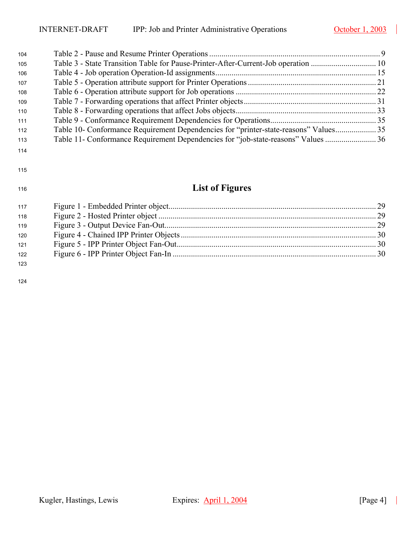$\overline{\phantom{a}}$ 

| 104 |                                                                                     |  |
|-----|-------------------------------------------------------------------------------------|--|
| 105 |                                                                                     |  |
| 106 |                                                                                     |  |
| 107 |                                                                                     |  |
| 108 |                                                                                     |  |
| 109 |                                                                                     |  |
| 110 |                                                                                     |  |
| 111 |                                                                                     |  |
| 112 | Table 10- Conformance Requirement Dependencies for "printer-state-reasons" Values35 |  |
| 113 |                                                                                     |  |
| 444 |                                                                                     |  |

#### 

# **List of Figures**

| 117 |  |
|-----|--|
| 118 |  |
| 119 |  |
| 120 |  |
| 121 |  |
| 122 |  |
| 123 |  |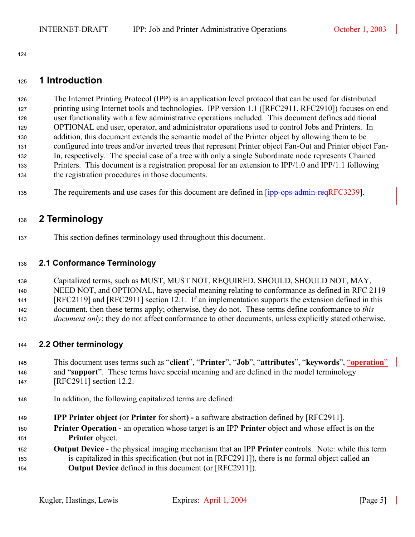## <span id="page-4-0"></span>**1 Introduction**

The Internet Printing Protocol (IPP) is an application level protocol that can be used for distributed 127 printing using Internet tools and technologies. IPP version 1.1 ([RFC2911, RFC2910]) focuses on end user functionality with a few administrative operations included. This document defines additional 129 OPTIONAL end user, operator, and administrator operations used to control Jobs and Printers. In 130 addition, this document extends the semantic model of the Printer object by allowing them to be configured into trees and/or inverted trees that represent Printer object Fan-Out and Printer object Fan-In, respectively. The special case of a tree with only a single Subordinate node represents Chained 133 Printers. This document is a registration proposal for an extension to IPP/1.0 and IPP/1.1 following 134 the registration procedures in those documents.

135 The requirements and use cases for this document are defined in [ipp-ops-admin-reqRFC3239].

# <span id="page-4-1"></span>**2 Terminology**

This section defines terminology used throughout this document.

## <span id="page-4-2"></span>**2.1 Conformance Terminology**

139 Capitalized terms, such as MUST, MUST NOT, REQUIRED, SHOULD, SHOULD NOT, MAY, 140 NEED NOT, and OPTIONAL, have special meaning relating to conformance as defined in RFC 2119 [RFC2119] and [RFC2911] section 12.1. If an implementation supports the extension defined in this 142 document, then these terms apply; otherwise, they do not. These terms define conformance to *this document only*; they do not affect conformance to other documents, unless explicitly stated otherwise.

## <span id="page-4-3"></span>**2.2 Other terminology**

This document uses terms such as "**client**", "**Printer**", "**Job**", "**attributes**", "**keywords**", "**operation**" and "**support**". These terms have special meaning and are defined in the model terminology 147 [RFC2911] section 12.2.

- In addition, the following capitalized terms are defined:
- **IPP Printer object (**or **Printer** for short**)** a software abstraction defined by [RFC2911].
- **Printer Operation** an operation whose target is an IPP **Printer** object and whose effect is on the **Printer** object.
- **Output Device**  the physical imaging mechanism that an IPP **Printer** controls. Note: while this term 153 is capitalized in this specification (but not in [RFC2911]), there is no formal object called an **Output Device** defined in this document (or [RFC2911]).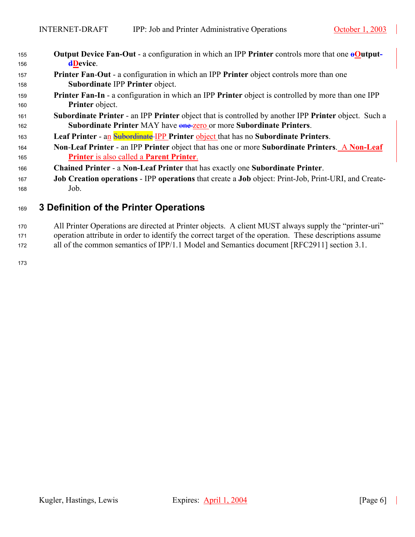| 155 | <b>Output Device Fan-Out - a configuration in which an IPP Printer controls more that one <math>\theta</math>Output-</b>  |
|-----|---------------------------------------------------------------------------------------------------------------------------|
| 156 | <b>dDevice.</b>                                                                                                           |
| 157 | <b>Printer Fan-Out - a configuration in which an IPP Printer object controls more than one</b>                            |
| 158 | Subordinate IPP Printer object.                                                                                           |
| 159 | <b>Printer Fan-In - a configuration in which an IPP Printer object is controlled by more than one IPP</b>                 |
| 160 | Printer object.                                                                                                           |
| 161 | <b>Subordinate Printer</b> - an IPP <b>Printer</b> object that is controlled by another IPP <b>Printer</b> object. Such a |
| 162 | Subordinate Printer MAY have one zero or more Subordinate Printers.                                                       |
| 163 | Leaf Printer - an <b>Subordinate</b> IPP Printer object that has no Subordinate Printers.                                 |
| 164 | Non-Leaf Printer - an IPP Printer object that has one or more Subordinate Printers. A Non-Leaf                            |
| 165 | Printer is also called a Parent Printer.                                                                                  |
| 166 | Chained Printer - a Non-Leaf Printer that has exactly one Subordinate Printer.                                            |
| 167 | <b>Job Creation operations - IPP operations</b> that create a <b>Job</b> object: Print-Job, Print-URI, and Create-        |
| 168 | Job.                                                                                                                      |

# <span id="page-5-0"></span>**3 Definition of the Printer Operations**

170 All Printer Operations are directed at Printer objects. A client MUST always supply the "printer-uri" 171 operation attribute in order to identify the correct target of the operation. These descriptions assume 172 all of the common semantics of IPP/1.1 Model and Semantics document [RFC2911] section 3.1.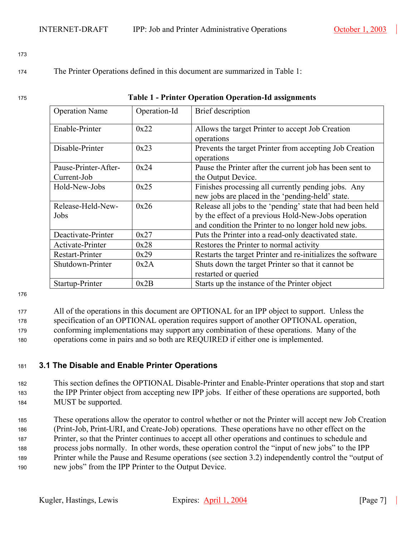<sup>174</sup>The Printer Operations defined in this document are summarized in [Table 1:](#page-6-1)

## <span id="page-6-1"></span>**Table 1 - Printer Operation Operation-Id assignments**

| <b>Operation Name</b> | Operation-Id | Brief description                                           |  |
|-----------------------|--------------|-------------------------------------------------------------|--|
| Enable-Printer        | 0x22         | Allows the target Printer to accept Job Creation            |  |
|                       |              | operations                                                  |  |
| Disable-Printer       | 0x23         | Prevents the target Printer from accepting Job Creation     |  |
|                       |              | operations                                                  |  |
| Pause-Printer-After-  | 0x24         | Pause the Printer after the current job has been sent to    |  |
| Current-Job           |              | the Output Device.                                          |  |
| Hold-New-Jobs         | 0x25         | Finishes processing all currently pending jobs. Any         |  |
|                       |              | new jobs are placed in the 'pending-held' state.            |  |
| Release-Held-New-     | 0x26         | Release all jobs to the 'pending' state that had been held  |  |
| Jobs                  |              | by the effect of a previous Hold-New-Jobs operation         |  |
|                       |              | and condition the Printer to no longer hold new jobs.       |  |
| Deactivate-Printer    | 0x27         | Puts the Printer into a read-only deactivated state.        |  |
| Activate-Printer      | 0x28         | Restores the Printer to normal activity                     |  |
| Restart-Printer       | 0x29         | Restarts the target Printer and re-initializes the software |  |
| Shutdown-Printer      | 0x2A         | Shuts down the target Printer so that it cannot be          |  |
|                       |              | restarted or queried                                        |  |
| Startup-Printer       | 0x2B         | Starts up the instance of the Printer object                |  |

176

<sup>177</sup>All of the operations in this document are OPTIONAL for an IPP object to support. Unless the 178 specification of an OPTIONAL operation requires support of another OPTIONAL operation, 179 conforming implementations may support any combination of these operations. Many of the 180 operations come in pairs and so both are REQUIRED if either one is implemented.

## <span id="page-6-0"></span><sup>181</sup>**3.1 The Disable and Enable Printer Operations**

- <sup>182</sup>This section defines the OPTIONAL Disable-Printer and Enable-Printer operations that stop and start 183 the IPP Printer object from accepting new IPP jobs. If either of these operations are supported, both 184 MUST be supported.
- <sup>185</sup>These operations allow the operator to control whether or not the Printer will accept new Job Creation <sup>186</sup>(Print-Job, Print-URI, and Create-Job) operations. These operations have no other effect on the <sup>187</sup>Printer, so that the Printer continues to accept all other operations and continues to schedule and 188 process jobs normally. In other words, these operation control the "input of new jobs" to the IPP <sup>189</sup>Printer while the Pause and Resume operations (see section [3.2\)](#page-7-2) independently control the "output of 190 new jobs" from the IPP Printer to the Output Device.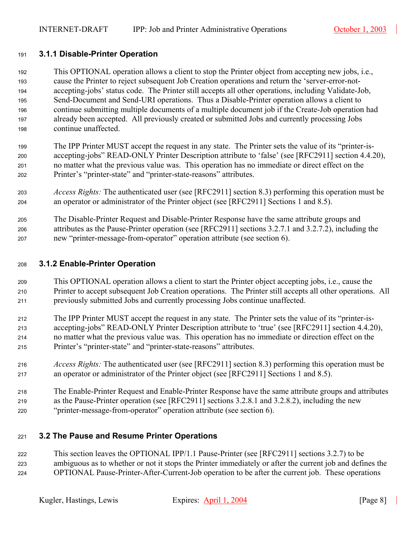## <span id="page-7-0"></span>**3.1.1 Disable-Printer Operation**

This OPTIONAL operation allows a client to stop the Printer object from accepting new jobs, i.e., cause the Printer to reject subsequent Job Creation operations and return the 'server-error-not-194 accepting-jobs' status code. The Printer still accepts all other operations, including Validate-Job, 195 Send-Document and Send-URI operations. Thus a Disable-Printer operation allows a client to continue submitting multiple documents of a multiple document job if the Create-Job operation had already been accepted. All previously created or submitted Jobs and currently processing Jobs continue unaffected.

- The IPP Printer MUST accept the request in any state. The Printer sets the value of its "printer-is-200 accepting-jobs" READ-ONLY Printer Description attribute to 'false' (see [RFC2911] section 4.4.20), no matter what the previous value was. This operation has no immediate or direct effect on the 202 Printer's "printer-state" and "printer-state-reasons" attributes.
- *Access Rights:* The authenticated user (see [RFC2911] section 8.3) performing this operation must be an operator or administrator of the Printer object (see [RFC2911] Sections 1 and 8.5).
- The Disable-Printer Request and Disable-Printer Response have the same attribute groups and attributes as the Pause-Printer operation (see [RFC2911] sections 3.2.7.1 and 3.2.7.2), including the 207 new "printer-message-from-operator" operation attribute (see section [6\)](#page-19-2).

## <span id="page-7-1"></span>**3.1.2 Enable-Printer Operation**

- This OPTIONAL operation allows a client to start the Printer object accepting jobs, i.e., cause the Printer to accept subsequent Job Creation operations. The Printer still accepts all other operations. All previously submitted Jobs and currently processing Jobs continue unaffected.
- The IPP Printer MUST accept the request in any state. The Printer sets the value of its "printer-is-accepting-jobs" READ-ONLY Printer Description attribute to 'true' (see [RFC2911] section 4.4.20), no matter what the previous value was. This operation has no immediate or direction effect on the 215 Printer's "printer-state" and "printer-state-reasons" attributes.
- <span id="page-7-3"></span>*Access Rights:* The authenticated user (see [RFC2911] section 8.3) performing this operation must be an operator or administrator of the Printer object (see [RFC2911] Sections 1 and 8.5).
- The Enable-Printer Request and Enable-Printer Response have the same attribute groups and attributes 219 as the Pause-Printer operation (see [RFC2911] sections 3.2.8.1 and 3.2.8.2), including the new "printer-message-from-operator" operation attribute (see section [6\)](#page-19-2).

## <span id="page-7-2"></span>**3.2 The Pause and Resume Printer Operations**

This section leaves the OPTIONAL IPP/1.1 Pause-Printer (see [RFC2911] sections 3.2.7) to be ambiguous as to whether or not it stops the Printer immediately or after the current job and defines the OPTIONAL Pause-Printer-After-Current-Job operation to be after the current job. These operations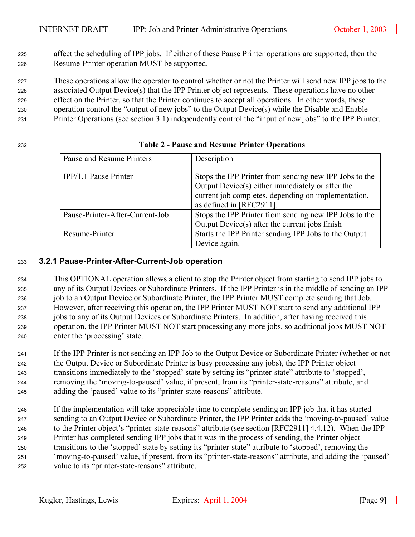<sup>225</sup>affect the scheduling of IPP jobs. If either of these Pause Printer operations are supported, then the 226 Resume-Printer operation MUST be supported.

227 These operations allow the operator to control whether or not the Printer will send new IPP jobs to the 228 associated Output Device(s) that the IPP Printer object represents. These operations have no other effect on the Printer, so that the Printer continues to accept all operations. In other words, these <sup>230</sup>operation control the "output of new jobs" to the Output Device(s) while the Disable and Enable

<sup>231</sup>Printer Operations (see section [3.1\)](#page-6-0) independently control the "input of new jobs" to the IPP Printer.

<span id="page-8-1"></span>

| Pause and Resume Printers       | Description                                                                                                                                                                                   |
|---------------------------------|-----------------------------------------------------------------------------------------------------------------------------------------------------------------------------------------------|
| IPP/1.1 Pause Printer           | Stops the IPP Printer from sending new IPP Jobs to the<br>Output Device(s) either immediately or after the<br>current job completes, depending on implementation,<br>as defined in [RFC2911]. |
| Pause-Printer-After-Current-Job | Stops the IPP Printer from sending new IPP Jobs to the<br>Output Device(s) after the current jobs finish                                                                                      |
| Resume-Printer                  | Starts the IPP Printer sending IPP Jobs to the Output<br>Device again.                                                                                                                        |

## <sup>232</sup>**Table 2 - Pause and Resume Printer Operations**

## <span id="page-8-0"></span><sup>233</sup>**3.2.1 Pause-Printer-After-Current-Job operation**

<sup>234</sup>This OPTIONAL operation allows a client to stop the Printer object from starting to send IPP jobs to <sup>235</sup>any of its Output Devices or Subordinate Printers. If the IPP Printer is in the middle of sending an IPP 236 job to an Output Device or Subordinate Printer, the IPP Printer MUST complete sending that Job. 237 However, after receiving this operation, the IPP Printer MUST NOT start to send any additional IPP 238 jobs to any of its Output Devices or Subordinate Printers. In addition, after having received this 239 operation, the IPP Printer MUST NOT start processing any more jobs, so additional jobs MUST NOT 240 enter the 'processing' state.

- 241 If the IPP Printer is not sending an IPP Job to the Output Device or Subordinate Printer (whether or not 242 the Output Device or Subordinate Printer is busy processing any jobs), the IPP Printer object 243 transitions immediately to the 'stopped' state by setting its "printer-state" attribute to 'stopped', <sup>244</sup>removing the 'moving-to-paused' value, if present, from its "printer-state-reasons" attribute, and <sup>245</sup>adding the 'paused' value to its "printer-state-reasons" attribute.
- <sup>246</sup>If the implementation will take appreciable time to complete sending an IPP job that it has started <sup>247</sup>sending to an Output Device or Subordinate Printer, the IPP Printer adds the 'moving-to-paused' value 248 to the Printer object's "printer-state-reasons" attribute (see section [RFC2911] 4.4.12). When the IPP Printer has completed sending IPP jobs that it was in the process of sending, the Printer object 250 transitions to the 'stopped' state by setting its "printer-state" attribute to 'stopped', removing the <sup>251</sup>'moving-to-paused' value, if present, from its "printer-state-reasons" attribute, and adding the 'paused' 252 value to its "printer-state-reasons" attribute.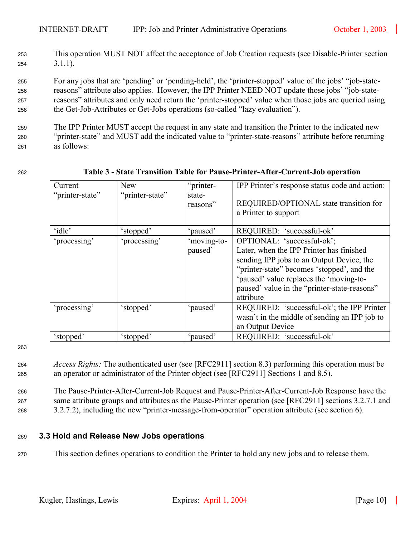<sup>253</sup>This operation MUST NOT affect the acceptance of Job Creation requests (see Disable-Printer section  $254$   $3.1.1$ ).

For any jobs that are 'pending' or 'pending-held', the 'printer-stopped' value of the jobs' "job-state-reasons" attribute also applies. However, the IPP Printer NEED NOT update those jobs' "job-state-reasons" attributes and only need return the 'printer-stopped' value when those jobs are queried using 258 the Get-Job-Attributes or Get-Jobs operations (so-called "lazy evaluation").

<sup>259</sup>The IPP Printer MUST accept the request in any state and transition the Printer to the indicated new <sup>260</sup>"printer-state" and MUST add the indicated value to "printer-state-reasons" attribute before returning 261 as follows:

<span id="page-9-1"></span>

| Current<br>"printer-state" | <b>New</b><br>"printer-state" | "printer-<br>state-<br>reasons" | IPP Printer's response status code and action:<br>REQUIRED/OPTIONAL state transition for<br>a Printer to support                                                                                                                                                          |
|----------------------------|-------------------------------|---------------------------------|---------------------------------------------------------------------------------------------------------------------------------------------------------------------------------------------------------------------------------------------------------------------------|
| 'idle'                     | 'stopped'                     | 'paused'                        | REQUIRED: 'successful-ok'                                                                                                                                                                                                                                                 |
| 'processing'               | 'processing'                  | 'moving-to-<br>paused'          | OPTIONAL: 'successful-ok';<br>Later, when the IPP Printer has finished<br>sending IPP jobs to an Output Device, the<br>"printer-state" becomes 'stopped', and the<br>'paused' value replaces the 'moving-to-<br>paused' value in the "printer-state-reasons"<br>attribute |
| 'processing'               | 'stopped'                     | 'paused'                        | REQUIRED: 'successful-ok'; the IPP Printer<br>wasn't in the middle of sending an IPP job to<br>an Output Device                                                                                                                                                           |
| 'stopped'                  | 'stopped'                     | 'paused'                        | REQUIRED: 'successful-ok'                                                                                                                                                                                                                                                 |

## <sup>262</sup>**Table 3 - State Transition Table for Pause-Printer-After-Current-Job operation**

- <sup>264</sup>*Access Rights:* The authenticated user (see [RFC2911] section 8.3) performing this operation must be <sup>265</sup>an operator or administrator of the Printer object (see [RFC2911] Sections 1 and 8.5).
- <sup>266</sup>The Pause-Printer-After-Current-Job Request and Pause-Printer-After-Current-Job Response have the <sup>267</sup>same attribute groups and attributes as the Pause-Printer operation (see [RFC2911] sections 3.2.7.1 and <sup>268</sup>3.2.7.2), including the new "printer-message-from-operator" operation attribute (see section [6\)](#page-19-2).
- <span id="page-9-0"></span><sup>269</sup>**3.3 Hold and Release New Jobs operations**
- 270 This section defines operations to condition the Printer to hold any new jobs and to release them.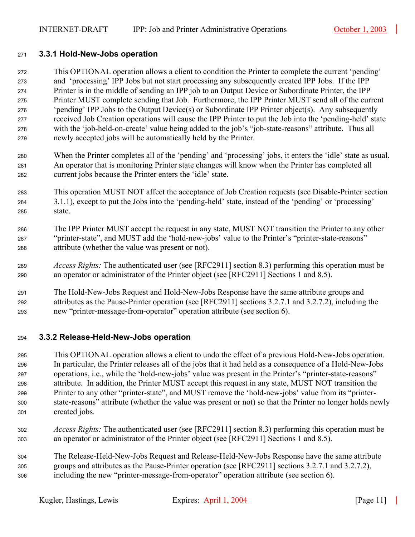## <span id="page-10-0"></span>**3.3.1 Hold-New-Jobs operation**

This OPTIONAL operation allows a client to condition the Printer to complete the current 'pending' and 'processing' IPP Jobs but not start processing any subsequently created IPP Jobs. If the IPP Printer is in the middle of sending an IPP job to an Output Device or Subordinate Printer, the IPP Printer MUST complete sending that Job. Furthermore, the IPP Printer MUST send all of the current 'pending' IPP Jobs to the Output Device(s) or Subordinate IPP Printer object(s). Any subsequently received Job Creation operations will cause the IPP Printer to put the Job into the 'pending-held' state with the 'job-held-on-create' value being added to the job's "job-state-reasons" attribute. Thus all 279 newly accepted jobs will be automatically held by the Printer.

- When the Printer completes all of the 'pending' and 'processing' jobs, it enters the 'idle' state as usual. An operator that is monitoring Printer state changes will know when the Printer has completed all 282 current jobs because the Printer enters the 'idle' state.
- This operation MUST NOT affect the acceptance of Job Creation requests (see Disable-Printer section [3.1.1\)](#page-7-0), except to put the Jobs into the 'pending-held' state, instead of the 'pending' or 'processing' 285 state.
- The IPP Printer MUST accept the request in any state, MUST NOT transition the Printer to any other "printer-state", and MUST add the 'hold-new-jobs' value to the Printer's "printer-state-reasons" zes attribute (whether the value was present or not).
- *Access Rights:* The authenticated user (see [RFC2911] section 8.3) performing this operation must be 290 an operator or administrator of the Printer object (see [RFC2911] Sections 1 and 8.5).
- The Hold-New-Jobs Request and Hold-New-Jobs Response have the same attribute groups and 292 attributes as the Pause-Printer operation (see [RFC2911] sections 3.2.7.1 and 3.2.7.2), including the 293 new "printer-message-from-operator" operation attribute (see section [6\)](#page-19-2).

## <span id="page-10-1"></span>**3.3.2 Release-Held-New-Jobs operation**

This OPTIONAL operation allows a client to undo the effect of a previous Hold-New-Jobs operation. In particular, the Printer releases all of the jobs that it had held as a consequence of a Hold-New-Jobs 297 operations, i.e., while the 'hold-new-jobs' value was present in the Printer's "printer-state-reasons" 298 attribute. In addition, the Printer MUST accept this request in any state, MUST NOT transition the Printer to any other "printer-state", and MUST remove the 'hold-new-jobs' value from its "printer-300 state-reasons" attribute (whether the value was present or not) so that the Printer no longer holds newly 301 created jobs.

- *Access Rights:* The authenticated user (see [RFC2911] section 8.3) performing this operation must be an operator or administrator of the Printer object (see [RFC2911] Sections 1 and 8.5).
- The Release-Held-New-Jobs Request and Release-Held-New-Jobs Response have the same attribute 305 groups and attributes as the Pause-Printer operation (see [RFC2911] sections 3.2.7.1 and 3.2.7.2), including the new "printer-message-from-operator" operation attribute (see section [6\)](#page-19-2).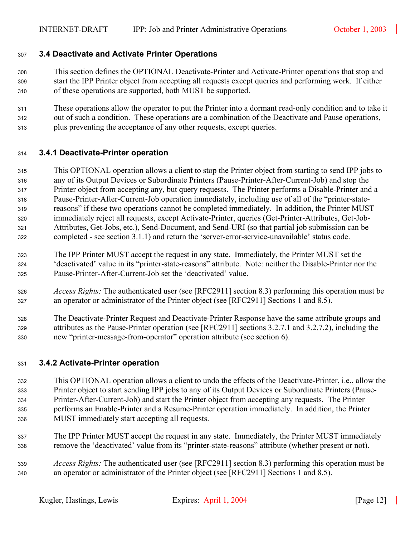## <span id="page-11-0"></span>**3.4 Deactivate and Activate Printer Operations**

- This section defines the OPTIONAL Deactivate-Printer and Activate-Printer operations that stop and start the IPP Printer object from accepting all requests except queries and performing work. If either 310 of these operations are supported, both MUST be supported.
- 311 These operations allow the operator to put the Printer into a dormant read-only condition and to take it 312 out of such a condition. These operations are a combination of the Deactivate and Pause operations, plus preventing the acceptance of any other requests, except queries.

#### <span id="page-11-1"></span>**3.4.1 Deactivate-Printer operation**

- This OPTIONAL operation allows a client to stop the Printer object from starting to send IPP jobs to any of its Output Devices or Subordinate Printers (Pause-Printer-After-Current-Job) and stop the 317 Printer object from accepting any, but query requests. The Printer performs a Disable-Printer and a Pause-Printer-After-Current-Job operation immediately, including use of all of the "printer-state-319 reasons" if these two operations cannot be completed immediately. In addition, the Printer MUST immediately reject all requests, except Activate-Printer, queries (Get-Printer-Attributes, Get-Job-321 Attributes, Get-Jobs, etc.), Send-Document, and Send-URI (so that partial job submission can be completed - see section [3.1.1\)](#page-7-0) and return the 'server-error-service-unavailable' status code.
- 323 The IPP Printer MUST accept the request in any state. Immediately, the Printer MUST set the 'deactivated' value in its "printer-state-reasons" attribute. Note: neither the Disable-Printer nor the 325 Pause-Printer-After-Current-Job set the 'deactivated' value.
- *Access Rights:* The authenticated user (see [RFC2911] section 8.3) performing this operation must be an operator or administrator of the Printer object (see [RFC2911] Sections 1 and 8.5).
- The Deactivate-Printer Request and Deactivate-Printer Response have the same attribute groups and 329 attributes as the Pause-Printer operation (see [RFC2911] sections 3.2.7.1 and 3.2.7.2), including the 330 new "printer-message-from-operator" operation attribute (see section [6\)](#page-19-2).

#### <span id="page-11-2"></span>**3.4.2 Activate-Printer operation**

- This OPTIONAL operation allows a client to undo the effects of the Deactivate-Printer, i.e., allow the Printer object to start sending IPP jobs to any of its Output Devices or Subordinate Printers (Pause-Printer-After-Current-Job) and start the Printer object from accepting any requests. The Printer 335 performs an Enable-Printer and a Resume-Printer operation immediately. In addition, the Printer MUST immediately start accepting all requests.
- 337 The IPP Printer MUST accept the request in any state. Immediately, the Printer MUST immediately remove the 'deactivated' value from its "printer-state-reasons" attribute (whether present or not).
- *Access Rights:* The authenticated user (see [RFC2911] section 8.3) performing this operation must be an operator or administrator of the Printer object (see [RFC2911] Sections 1 and 8.5).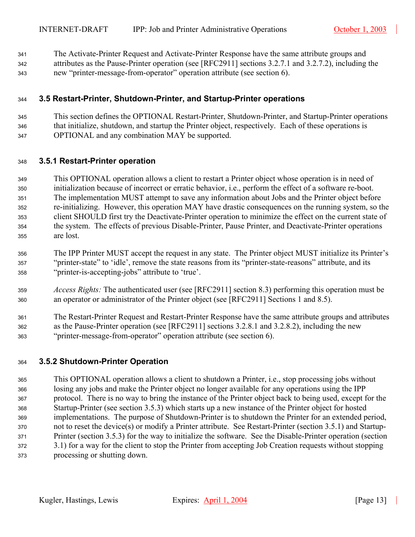<sup>341</sup>The Activate-Printer Request and Activate-Printer Response have the same attribute groups and

342 attributes as the Pause-Printer operation (see [RFC2911] sections 3.2.7.1 and 3.2.7.2), including the <sup>343</sup>new "printer-message-from-operator" operation attribute (see section [6\)](#page-19-2).

## <span id="page-12-0"></span><sup>344</sup>**3.5 Restart-Printer, Shutdown-Printer, and Startup-Printer operations**

<sup>345</sup>This section defines the OPTIONAL Restart-Printer, Shutdown-Printer, and Startup-Printer operations  $346$  that initialize, shutdown, and startup the Printer object, respectively. Each of these operations is <sup>347</sup>OPTIONAL and any combination MAY be supported.

## <span id="page-12-1"></span><sup>348</sup>**3.5.1 Restart-Printer operation**

349 This OPTIONAL operation allows a client to restart a Printer object whose operation is in need of 350 initialization because of incorrect or erratic behavior, i.e., perform the effect of a software re-boot. 351 The implementation MUST attempt to save any information about Jobs and the Printer object before <sup>352</sup>re-initializing. However, this operation MAY have drastic consequences on the running system, so the 353 client SHOULD first try the Deactivate-Printer operation to minimize the effect on the current state of <sup>354</sup>the system. The effects of previous Disable-Printer, Pause Printer, and Deactivate-Printer operations <sup>355</sup>are lost.

- 356 The IPP Printer MUST accept the request in any state. The Printer object MUST initialize its Printer's <sup>357</sup>"printer-state" to 'idle', remove the state reasons from its "printer-state-reasons" attribute, and its <sup>358</sup>"printer-is-accepting-jobs" attribute to 'true'.
- <sup>359</sup>*Access Rights:* The authenticated user (see [RFC2911] section 8.3) performing this operation must be 360 an operator or administrator of the Printer object (see [RFC2911] Sections 1 and 8.5).
- 361 The Restart-Printer Request and Restart-Printer Response have the same attribute groups and attributes 362 as the Pause-Printer operation (see [RFC2911] sections 3.2.8.1 and 3.2.8.2), including the new <sup>363</sup>"printer-message-from-operator" operation attribute (see section [6\)](#page-19-2).

## <span id="page-12-2"></span><sup>364</sup>**3.5.2 Shutdown-Printer Operation**

This OPTIONAL operation allows a client to shutdown a Printer, i.e., stop processing jobs without losing any jobs and make the Printer object no longer available for any operations using the IPP 367 protocol. There is no way to bring the instance of the Printer object back to being used, except for the Startup-Printer (see section [3.5.3\)](#page-13-0) which starts up a new instance of the Printer object for hosted 369 implementations. The purpose of Shutdown-Printer is to shutdown the Printer for an extended period, not to reset the device(s) or modify a Printer attribute. See Restart-Printer (section [3.5.1\)](#page-12-1) and Startup-371 Printer (section [3.5.3\)](#page-13-0) for the way to initialize the software. See the Disable-Printer operation (section [3.1\)](#page-7-3) for a way for the client to stop the Printer from accepting Job Creation requests without stopping processing or shutting down.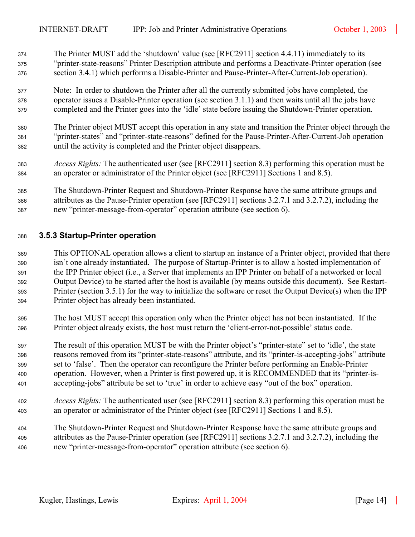- 374 The Printer MUST add the 'shutdown' value (see [RFC2911] section 4.4.11) immediately to its <sup>375</sup>"printer-state-reasons" Printer Description attribute and performs a Deactivate-Printer operation (see <sup>376</sup>section [3.4.1\)](#page-11-1) which performs a Disable-Printer and Pause-Printer-After-Current-Job operation).
- 377 Note: In order to shutdown the Printer after all the currently submitted jobs have completed, the 378 operator issues a Disable-Printer operation (see section [3.1.1\)](#page-7-0) and then waits until all the jobs have 379 completed and the Printer goes into the 'idle' state before issuing the Shutdown-Printer operation.
- <sup>380</sup>The Printer object MUST accept this operation in any state and transition the Printer object through the <sup>381</sup>"printer-states" and "printer-state-reasons" defined for the Pause-Printer-After-Current-Job operation <sup>382</sup>until the activity is completed and the Printer object disappears.
- <sup>383</sup>*Access Rights:* The authenticated user (see [RFC2911] section 8.3) performing this operation must be <sup>384</sup>an operator or administrator of the Printer object (see [RFC2911] Sections 1 and 8.5).
- <sup>385</sup>The Shutdown-Printer Request and Shutdown-Printer Response have the same attribute groups and 386 attributes as the Pause-Printer operation (see [RFC2911] sections 3.2.7.1 and 3.2.7.2), including the 387 new "printer-message-from-operator" operation attribute (see section [6\)](#page-19-2).

## <span id="page-13-0"></span><sup>388</sup>**3.5.3 Startup-Printer operation**

- 389 This OPTIONAL operation allows a client to startup an instance of a Printer object, provided that there 390 isn't one already instantiated. The purpose of Startup-Printer is to allow a hosted implementation of 391 the IPP Printer object (i.e., a Server that implements an IPP Printer on behalf of a networked or local 392 Output Device) to be started after the host is available (by means outside this document). See Restart-393 Printer (section [3.5.1\)](#page-12-1) for the way to initialize the software or reset the Output Device(s) when the IPP <sup>394</sup>Printer object has already been instantiated.
- 395 The host MUST accept this operation only when the Printer object has not been instantiated. If the 396 Printer object already exists, the host must return the 'client-error-not-possible' status code.
- <sup>397</sup>The result of this operation MUST be with the Printer object's "printer-state" set to 'idle', the state 398 reasons removed from its "printer-state-reasons" attribute, and its "printer-is-accepting-jobs" attribute 399 set to 'false'. Then the operator can reconfigure the Printer before performing an Enable-Printer 400 operation. However, when a Printer is first powered up, it is RECOMMENDED that its "printer-is-401 accepting-jobs" attribute be set to 'true' in order to achieve easy "out of the box" operation.
- <sup>402</sup>*Access Rights:* The authenticated user (see [RFC2911] section 8.3) performing this operation must be <sup>403</sup>an operator or administrator of the Printer object (see [RFC2911] Sections 1 and 8.5).
- <sup>404</sup>The Shutdown-Printer Request and Shutdown-Printer Response have the same attribute groups and <sup>405</sup>attributes as the Pause-Printer operation (see [RFC2911] sections 3.2.7.1 and 3.2.7.2), including the 406 new "printer-message-from-operator" operation attribute (see section [6\)](#page-19-2).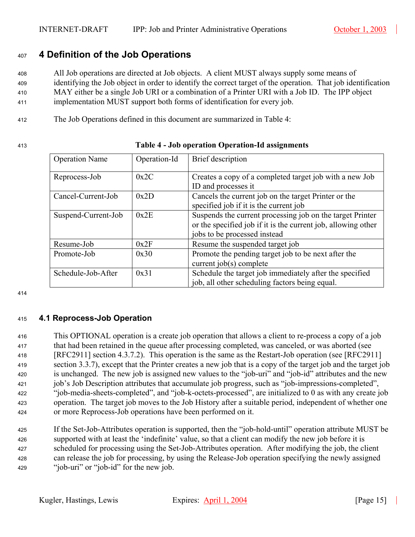# <span id="page-14-0"></span><sup>407</sup>**4 Definition of the Job Operations**

<sup>408</sup>All Job operations are directed at Job objects. A client MUST always supply some means of <sup>409</sup>identifying the Job object in order to identify the correct target of the operation. That job identification

<sup>410</sup>MAY either be a single Job URI or a combination of a Printer URI with a Job ID. The IPP object

<sup>411</sup>implementation MUST support both forms of identification for every job.

<sup>412</sup>The Job Operations defined in this document are summarized in [Table 4:](#page-14-2)

## <sup>413</sup>**Table 4 - Job operation Operation-Id assignments**

<span id="page-14-2"></span>

| <b>Operation Name</b> | Operation-Id | Brief description                                                                                                                                          |
|-----------------------|--------------|------------------------------------------------------------------------------------------------------------------------------------------------------------|
| Reprocess-Job         | 0x2C         | Creates a copy of a completed target job with a new Job<br>ID and processes it                                                                             |
| Cancel-Current-Job    | 0x2D         | Cancels the current job on the target Printer or the<br>specified job if it is the current job                                                             |
| Suspend-Current-Job   | 0x2E         | Suspends the current processing job on the target Printer<br>or the specified job if it is the current job, allowing other<br>jobs to be processed instead |
| Resume-Job            | 0x2F         | Resume the suspended target job                                                                                                                            |
| Promote-Job           | 0x30         | Promote the pending target job to be next after the<br>current job(s) complete                                                                             |
| Schedule-Job-After    | 0x31         | Schedule the target job immediately after the specified<br>job, all other scheduling factors being equal.                                                  |

414

## <span id="page-14-1"></span><sup>415</sup>**4.1 Reprocess-Job Operation**

<sup>416</sup>This OPTIONAL operation is a create job operation that allows a client to re-process a copy of a job 417 that had been retained in the queue after processing completed, was canceled, or was aborted (see <sup>418</sup>[RFC2911] section 4.3.7.2). This operation is the same as the Restart-Job operation (see [RFC2911] section 3.3.7), except that the Printer creates a new job that is a copy of the target job and the target job <sup>420</sup>is unchanged. The new job is assigned new values to the "job-uri" and "job-id" attributes and the new 421 job's Job Description attributes that accumulate job progress, such as "job-impressions-completed", <sup>422</sup>"job-media-sheets-completed", and "job-k-octets-processed", are initialized to 0 as with any create job a 423 operation. The target job moves to the Job History after a suitable period, independent of whether one <sup>424</sup>or more Reprocess-Job operations have been performed on it.

425 If the Set-Job-Attributes operation is supported, then the "job-hold-until" operation attribute MUST be a 426 supported with at least the 'indefinite' value, so that a client can modify the new job before it is scheduled for processing using the Set-Job-Attributes operation. After modifying the job, the client <sup>428</sup>can release the job for processing, by using the Release-Job operation specifying the newly assigned 429 "job-uri" or "job-id" for the new job.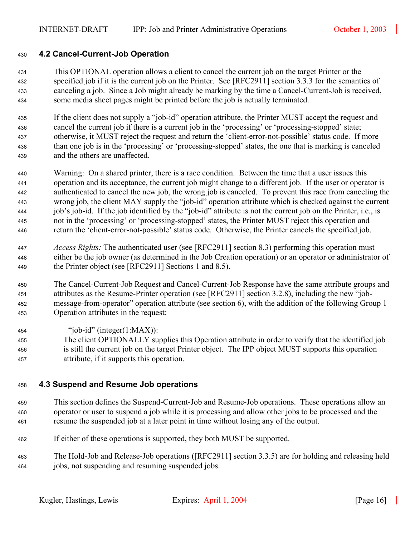## <span id="page-15-0"></span>**4.2 Cancel-Current-Job Operation**

This OPTIONAL operation allows a client to cancel the current job on the target Printer or the as a specified job if it is the current job on the Printer. See [RFC2911] section 3.3.3 for the semantics of canceling a job. Since a Job might already be marking by the time a Cancel-Current-Job is received, some media sheet pages might be printed before the job is actually terminated.

If the client does not supply a "job-id" operation attribute, the Printer MUST accept the request and 436 cancel the current job if there is a current job in the 'processing' or 'processing-stopped' state; 437 otherwise, it MUST reject the request and return the 'client-error-not-possible' status code. If more 438 than one job is in the 'processing' or 'processing-stopped' states, the one that is marking is canceled 439 and the others are unaffected.

- Warning: On a shared printer, there is a race condition. Between the time that a user issues this operation and its acceptance, the current job might change to a different job. If the user or operator is authenticated to cancel the new job, the wrong job is canceled. To prevent this race from canceling the wrong job, the client MAY supply the "job-id" operation attribute which is checked against the current 444 job's job-id. If the job identified by the "job-id" attribute is not the current job on the Printer, i.e., is not in the 'processing' or 'processing-stopped' states, the Printer MUST reject this operation and return the 'client-error-not-possible' status code. Otherwise, the Printer cancels the specified job.
- *Access Rights:* The authenticated user (see [RFC2911] section 8.3) performing this operation must either be the job owner (as determined in the Job Creation operation) or an operator or administrator of 449 the Printer object (see [RFC2911] Sections 1 and 8.5).
- The Cancel-Current-Job Request and Cancel-Current-Job Response have the same attribute groups and attributes as the Resume-Printer operation (see [RFC2911] section 3.2.8), including the new "job-message-from-operator" operation attribute (see section [6\)](#page-19-2), with the addition of the following Group 1 453 Operation attributes in the request:
- 454 " $'job-id"$  (integer(1:MAX)):
- The client OPTIONALLY supplies this Operation attribute in order to verify that the identified job <sup>456</sup>is still the current job on the target Printer object. The IPP object MUST supports this operation attribute, if it supports this operation.

## <span id="page-15-1"></span>**4.3 Suspend and Resume Job operations**

- This section defines the Suspend-Current-Job and Resume-Job operations. These operations allow an operator or user to suspend a job while it is processing and allow other jobs to be processed and the resume the suspended job at a later point in time without losing any of the output.
- 462 If either of these operations is supported, they both MUST be supported.
- The Hold-Job and Release-Job operations ([RFC2911] section 3.3.5) are for holding and releasing held jobs, not suspending and resuming suspended jobs.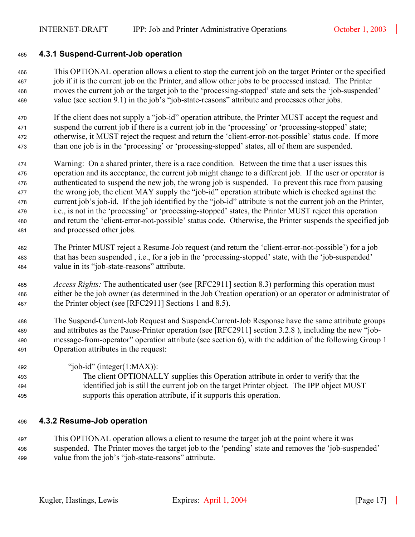## <span id="page-16-0"></span><sup>465</sup>**4.3.1 Suspend-Current-Job operation**

This OPTIONAL operation allows a client to stop the current job on the target Printer or the specified job if it is the current job on the Printer, and allow other jobs to be processed instead. The Printer moves the current job or the target job to the 'processing-stopped' state and sets the 'job-suspended' 469 value (see section [9.1\)](#page-23-3) in the job's "job-state-reasons" attribute and processes other jobs.

470 If the client does not supply a "job-id" operation attribute, the Printer MUST accept the request and 471 suspend the current job if there is a current job in the 'processing' or 'processing-stopped' state; ata at the reguest and return the 'client-error-not-possible' status code. If more than one job is in the 'processing' or 'processing-stopped' states, all of them are suspended.

- <sup>474</sup>Warning: On a shared printer, there is a race condition. Between the time that a user issues this <sup>475</sup>operation and its acceptance, the current job might change to a different job. If the user or operator is 476 authenticated to suspend the new job, the wrong job is suspended. To prevent this race from pausing <sup>477</sup> the wrong job, the client MAY supply the "job-id" operation attribute which is checked against the <sup>478</sup>current job's job-id. If the job identified by the "job-id" attribute is not the current job on the Printer, 479 i.e., is not in the 'processing' or 'processing-stopped' states, the Printer MUST reject this operation 480 and return the 'client-error-not-possible' status code. Otherwise, the Printer suspends the specified job 481 and processed other jobs.
- <sup>482</sup>The Printer MUST reject a Resume-Job request (and return the 'client-error-not-possible') for a job 483 that has been suspended, i.e., for a job in the 'processing-stopped' state, with the 'job-suspended' <sup>484</sup>value in its "job-state-reasons" attribute.
- <sup>485</sup>*Access Rights:* The authenticated user (see [RFC2911] section 8.3) performing this operation must <sup>486</sup>either be the job owner (as determined in the Job Creation operation) or an operator or administrator of 487 the Printer object (see [RFC2911] Sections 1 and 8.5).
- <sup>488</sup>The Suspend-Current-Job Request and Suspend-Current-Job Response have the same attribute groups 489 and attributes as the Pause-Printer operation (see [RFC2911] section 3.2.8 ), including the new "job-<sup>490</sup>message-from-operator" operation attribute (see section [6\)](#page-19-2), with the addition of the following Group 1 491 Operation attributes in the request:
- 492 "iob-id" (integer(1:MAX)): <sup>493</sup>The client OPTIONALLY supplies this Operation attribute in order to verify that the <sup>494</sup>identified job is still the current job on the target Printer object. The IPP object MUST <sup>495</sup>supports this operation attribute, if it supports this operation.

#### <span id="page-16-1"></span><sup>496</sup>**4.3.2 Resume-Job operation**

<sup>497</sup>This OPTIONAL operation allows a client to resume the target job at the point where it was <sup>498</sup>suspended. The Printer moves the target job to the 'pending' state and removes the 'job-suspended' 499 value from the job's "job-state-reasons" attribute.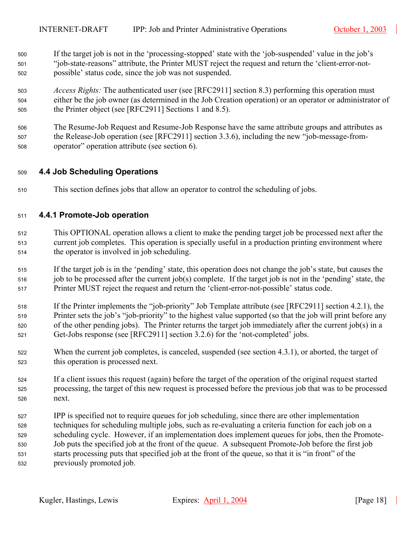- 500 If the target job is not in the 'processing-stopped' state with the 'job-suspended' value in the job's 501 "job-state-reasons" attribute, the Printer MUST reject the request and return the 'client-error-not-502 bossible' status code, since the job was not suspended.
- <sup>503</sup>*Access Rights:* The authenticated user (see [RFC2911] section 8.3) performing this operation must <sup>504</sup>either be the job owner (as determined in the Job Creation operation) or an operator or administrator of 505 the Printer object (see [RFC2911] Sections 1 and 8.5).
- <sup>506</sup>The Resume-Job Request and Resume-Job Response have the same attribute groups and attributes as 507 the Release-Job operation (see [RFC2911] section 3.3.6), including the new "job-message-from-508 operator" operation attribute (see section [6\)](#page-19-2).

## <span id="page-17-0"></span><sup>509</sup>**4.4 Job Scheduling Operations**

510 This section defines jobs that allow an operator to control the scheduling of jobs.

## <span id="page-17-1"></span><sup>511</sup>**4.4.1 Promote-Job operation**

- <sup>512</sup>This OPTIONAL operation allows a client to make the pending target job be processed next after the 513 current job completes. This operation is specially useful in a production printing environment where 514 the operator is involved in job scheduling.
- 515 If the target job is in the 'pending' state, this operation does not change the job's state, but causes the  $516$  job to be processed after the current job(s) complete. If the target job is not in the 'pending' state, the 517 Printer MUST reject the request and return the 'client-error-not-possible' status code.
- 518 If the Printer implements the "job-priority" Job Template attribute (see [RFC2911] section 4.2.1), the 519 Printer sets the job's "job-priority" to the highest value supported (so that the job will print before any 520 of the other pending jobs). The Printer returns the target job immediately after the current job(s) in a 521 Get-Jobs response (see [RFC2911] section 3.2.6) for the 'not-completed' jobs.
- 522 When the current job completes, is canceled, suspended (see section [4.3.1\)](#page-16-0), or aborted, the target of 523 this operation is processed next.
- <sup>524</sup>If a client issues this request (again) before the target of the operation of the original request started 525 processing, the target of this new request is processed before the previous job that was to be processed 526 next.
- <sup>527</sup>IPP is specified not to require queues for job scheduling, since there are other implementation 528 techniques for scheduling multiple jobs, such as re-evaluating a criteria function for each job on a 529 scheduling cycle. However, if an implementation does implement queues for jobs, then the Promote-530 Job puts the specified job at the front of the queue. A subsequent Promote-Job before the first job 531 starts processing puts that specified job at the front of the queue, so that it is "in front" of the 532 previously promoted job.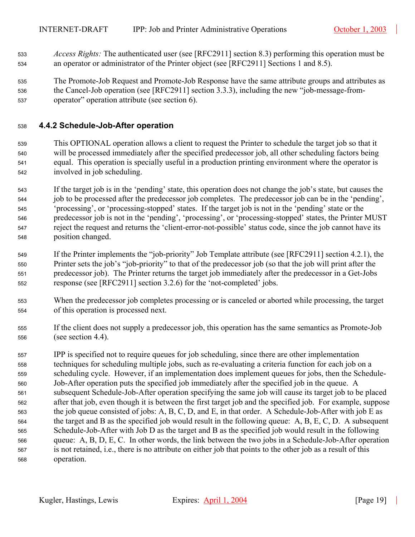- <sup>533</sup>*Access Rights:* The authenticated user (see [RFC2911] section 8.3) performing this operation must be <sup>534</sup>an operator or administrator of the Printer object (see [RFC2911] Sections 1 and 8.5).
- <sup>535</sup>The Promote-Job Request and Promote-Job Response have the same attribute groups and attributes as 536 the Cancel-Job operation (see [RFC2911] section 3.3.3), including the new "job-message-from-537 operator" operation attribute (see section [6\)](#page-19-2).

## <span id="page-18-0"></span><sup>538</sup>**4.4.2 Schedule-Job-After operation**

- <sup>539</sup>This OPTIONAL operation allows a client to request the Printer to schedule the target job so that it <sup>540</sup>will be processed immediately after the specified predecessor job, all other scheduling factors being <sup>541</sup>equal. This operation is specially useful in a production printing environment where the operator is 542 involved in job scheduling.
- <sup>543</sup>If the target job is in the 'pending' state, this operation does not change the job's state, but causes the 544 job to be processed after the predecessor job completes. The predecessor job can be in the 'pending', <sup>545</sup>'processing', or 'processing-stopped' states. If the target job is not in the 'pending' state or the 546 predecessor job is not in the 'pending', 'processing', or 'processing-stopped' states, the Printer MUST 547 reject the request and returns the 'client-error-not-possible' status code, since the job cannot have its 548 position changed.
- 549 If the Printer implements the "job-priority" Job Template attribute (see [RFC2911] section 4.2.1), the 550 Printer sets the job's "job-priority" to that of the predecessor job (so that the job will print after the <sup>551</sup>predecessor job). The Printer returns the target job immediately after the predecessor in a Get-Jobs 552 response (see [RFC2911] section 3.2.6) for the 'not-completed' jobs.
- <sup>553</sup>When the predecessor job completes processing or is canceled or aborted while processing, the target 554 of this operation is processed next.
- <sup>555</sup>If the client does not supply a predecessor job, this operation has the same semantics as Promote-Job <sup>556</sup>(see section [4.4\)](#page-17-0).
- 557 IPP is specified not to require queues for job scheduling, since there are other implementation 558 techniques for scheduling multiple jobs, such as re-evaluating a criteria function for each job on a 559 scheduling cycle. However, if an implementation does implement queues for jobs, then the Schedule-560 Job-After operation puts the specified job immediately after the specified job in the queue. A 561 subsequent Schedule-Job-After operation specifying the same job will cause its target job to be placed 562 after that job, even though it is between the first target job and the specified job. For example, suppose 563 the job queue consisted of jobs: A, B, C, D, and E, in that order. A Schedule-Job-After with job E as  $564$  the target and B as the specified job would result in the following queue: A, B, E, C, D. A subsequent 565 Schedule-Job-After with Job D as the target and B as the specified job would result in the following 566 queue: A, B, D, E, C. In other words, the link between the two jobs in a Schedule-Job-After operation <sup>567</sup>is not retained, i.e., there is no attribute on either job that points to the other job as a result of this 568 operation.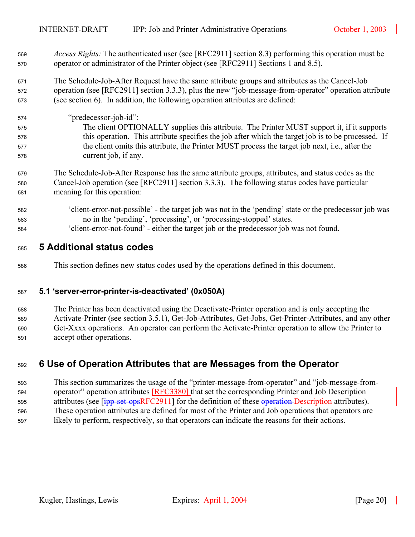<sup>569</sup>*Access Rights:* The authenticated user (see [RFC2911] section 8.3) performing this operation must be 570 operator or administrator of the Printer object (see [RFC2911] Sections 1 and 8.5).

571 The Schedule-Job-After Request have the same attribute groups and attributes as the Cancel-Job 572 operation (see [RFC2911] section 3.3.3), plus the new "job-message-from-operator" operation attribute <sup>573</sup>(see section [6\)](#page-19-2). In addition, the following operation attributes are defined:

- <sup>574</sup>"predecessor-job-id": 575 The client OPTIONALLY supplies this attribute. The Printer MUST support it, if it supports 576 this operation. This attribute specifies the job after which the target job is to be processed. If 577 the client omits this attribute, the Printer MUST process the target job next, i.e., after the 578 current job, if any.
- <sup>579</sup>The Schedule-Job-After Response has the same attribute groups, attributes, and status codes as the 580 Cancel-Job operation (see [RFC2911] section 3.3.3). The following status codes have particular <sup>581</sup>meaning for this operation:
- <sup>582</sup>'client-error-not-possible' the target job was not in the 'pending' state or the predecessor job was 583 no in the 'pending', 'processing', or 'processing-stopped' states.
- <sup>584</sup>'client-error-not-found' either the target job or the predecessor job was not found.

## <span id="page-19-0"></span><sup>585</sup>**5 Additional status codes**

<sup>586</sup>This section defines new status codes used by the operations defined in this document.

## <span id="page-19-1"></span><sup>587</sup>**5.1 'server-error-printer-is-deactivated' (0x050A)**

<sup>588</sup>The Printer has been deactivated using the Deactivate-Printer operation and is only accepting the 589 Activate-Printer (see section [3.5.1\)](#page-12-1), Get-Job-Attributes, Get-Jobs, Get-Printer-Attributes, and any other 590 Get-Xxxx operations. An operator can perform the Activate-Printer operation to allow the Printer to 591 accept other operations.

## <span id="page-19-2"></span><sup>592</sup>**6 Use of Operation Attributes that are Messages from the Operator**

593 This section summarizes the usage of the "printer-message-from-operator" and "job-message-from-594 operator" operation attributes [RFC3380] that set the corresponding Printer and Job Description 595 attributes (see [ipp-set-opsRFC2911] for the definition of these operation Description attributes). 596 These operation attributes are defined for most of the Printer and Job operations that operators are 597 likely to perform, respectively, so that operators can indicate the reasons for their actions.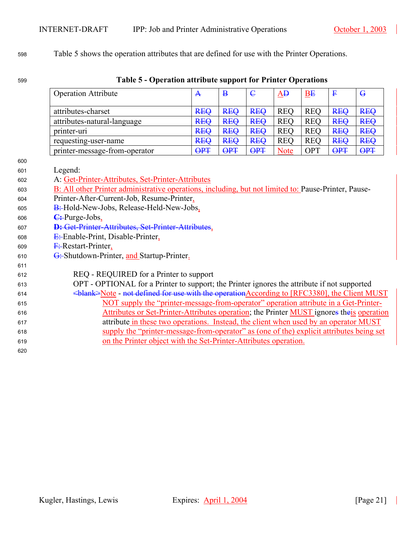# [Table 5](#page-20-0) shows the operation attributes that are defined for use with the Printer Operations.

# **Table 5 - Operation attribute support for Printer Operations**

<span id="page-20-0"></span>

|                                                                                                                            | <b>Operation Attribute</b>                                                                                                                                                                                                                                                                                                                                                                                                                                                                                                                                                                                                                                                                                                                                                                                                                                                    | $\mathbf{A}$            | $\bf{B}$   | $\epsilon$ | AĐ          | BE         | $\mathbf{F}$ | $\mathbf{G}$ |
|----------------------------------------------------------------------------------------------------------------------------|-------------------------------------------------------------------------------------------------------------------------------------------------------------------------------------------------------------------------------------------------------------------------------------------------------------------------------------------------------------------------------------------------------------------------------------------------------------------------------------------------------------------------------------------------------------------------------------------------------------------------------------------------------------------------------------------------------------------------------------------------------------------------------------------------------------------------------------------------------------------------------|-------------------------|------------|------------|-------------|------------|--------------|--------------|
|                                                                                                                            | attributes-charset                                                                                                                                                                                                                                                                                                                                                                                                                                                                                                                                                                                                                                                                                                                                                                                                                                                            | <b>REQ</b>              | <b>REQ</b> | <b>REQ</b> | <b>REQ</b>  | <b>REQ</b> | <b>REQ</b>   | <b>REQ</b>   |
|                                                                                                                            | attributes-natural-language                                                                                                                                                                                                                                                                                                                                                                                                                                                                                                                                                                                                                                                                                                                                                                                                                                                   | <b>REQ</b>              | <b>REQ</b> | <b>REQ</b> | <b>REQ</b>  | <b>REQ</b> | <b>REQ</b>   | <b>REQ</b>   |
|                                                                                                                            | printer-uri                                                                                                                                                                                                                                                                                                                                                                                                                                                                                                                                                                                                                                                                                                                                                                                                                                                                   | <b>REQ</b>              | <b>REQ</b> | <b>REQ</b> | <b>REQ</b>  | <b>REQ</b> | <b>REQ</b>   | <b>REQ</b>   |
|                                                                                                                            | requesting-user-name                                                                                                                                                                                                                                                                                                                                                                                                                                                                                                                                                                                                                                                                                                                                                                                                                                                          | <b>REQ</b>              | <b>REQ</b> | <b>REQ</b> | <b>REQ</b>  | <b>REQ</b> | <b>REQ</b>   | <b>REQ</b>   |
|                                                                                                                            | printer-message-from-operator                                                                                                                                                                                                                                                                                                                                                                                                                                                                                                                                                                                                                                                                                                                                                                                                                                                 | $\overline{\text{OPT}}$ | <b>OPT</b> | <b>OPT</b> | <b>Note</b> | <b>OPT</b> | <b>OPT</b>   | <b>OPT</b>   |
| 600<br>601<br>602<br>603<br>604<br>605<br>606<br>607<br>608<br>609<br>610<br>611<br>612<br>613<br>614<br>615<br>616<br>617 | Legend:<br>A: Get-Printer-Attributes, Set-Printer-Attributes<br>B: All other Printer administrative operations, including, but not limited to: Pause-Printer, Pause-<br>Printer-After-Current-Job, Resume-Printer,<br>B: Hold-New-Jobs, Release-Held-New-Jobs,<br>$C$ : Purge-Jobs<br>D: Get-Printer-Attributes, Set-Printer-Attributes,<br>$E$ : Enable-Print, Disable-Printer,<br>$F$ : Restart-Printer,<br>G: Shutdown-Printer, and Startup-Printer.<br>REQ - REQUIRED for a Printer to support<br>OPT - OPTIONAL for a Printer to support; the Printer ignores the attribute if not supported<br>NOT supply the "printer-message-from-operator" operation attribute in a Get-Printer-<br>Attributes or Set-Printer-Attributes operation; the Printer MUST ignores theis operation<br>attribute in these two operations. Instead, the client when used by an operator MUST |                         |            |            |             |            |              |              |
| 618                                                                                                                        | supply the "printer-message-from-operator" as (one of the) explicit attributes being set                                                                                                                                                                                                                                                                                                                                                                                                                                                                                                                                                                                                                                                                                                                                                                                      |                         |            |            |             |            |              |              |
| 619                                                                                                                        | on the Printer object with the Set-Printer-Attributes operation.                                                                                                                                                                                                                                                                                                                                                                                                                                                                                                                                                                                                                                                                                                                                                                                                              |                         |            |            |             |            |              |              |
| 620                                                                                                                        |                                                                                                                                                                                                                                                                                                                                                                                                                                                                                                                                                                                                                                                                                                                                                                                                                                                                               |                         |            |            |             |            |              |              |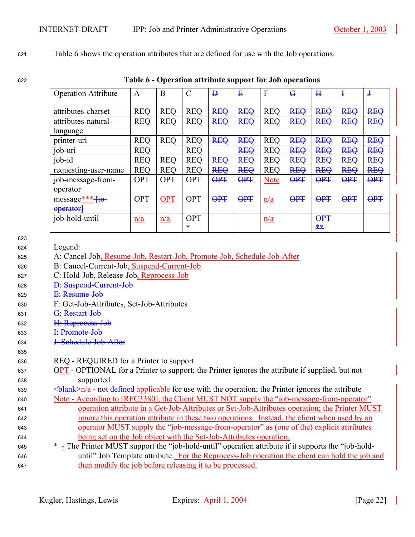<sup>621</sup>[Table 6](#page-21-0) shows the operation attributes that are defined for use with the Job operations.

<sup>622</sup>**Table 6 - Operation attribute support for Job operations** 

<span id="page-21-0"></span>

| <b>Operation Attribute</b> | A          | B          | $\mathcal{C}$ | $\mathbf{p}$ | ₽          | F           | $\overline{G}$ | H          | Į          | $\mathbf{I}$ |
|----------------------------|------------|------------|---------------|--------------|------------|-------------|----------------|------------|------------|--------------|
| attributes-charset         | <b>REO</b> | <b>REO</b> | <b>REQ</b>    | <b>REQ</b>   | <b>REQ</b> | <b>REO</b>  | <b>REQ</b>     | <b>REQ</b> | <b>REQ</b> | <b>REQ</b>   |
| attributes-natural-        | <b>REQ</b> | <b>REQ</b> | <b>REQ</b>    | <b>REQ</b>   | <b>REQ</b> | <b>REQ</b>  | <b>REQ</b>     | <b>REQ</b> | <b>REQ</b> | <b>REQ</b>   |
| language                   |            |            |               |              |            |             |                |            |            |              |
| printer-uri                | <b>REQ</b> | <b>REO</b> | <b>REQ</b>    | <b>REQ</b>   | <b>REQ</b> | <b>REO</b>  | <b>REQ</b>     | <b>REQ</b> | <b>REQ</b> | <b>REQ</b>   |
| job-uri                    | <b>REO</b> |            | <b>REO</b>    |              | <b>REQ</b> | <b>REO</b>  | <b>REQ</b>     | <b>REQ</b> | <b>REQ</b> | <b>REQ</b>   |
| job-id                     | <b>REQ</b> | <b>REO</b> | <b>REQ</b>    | <b>REQ</b>   | <b>REQ</b> | <b>REO</b>  | <b>REQ</b>     | <b>REQ</b> | <b>REQ</b> | <b>REQ</b>   |
| requesting-user-name       | <b>REO</b> | <b>REO</b> | <b>REO</b>    | <b>REQ</b>   | <b>REQ</b> | <b>REO</b>  | <b>REQ</b>     | <b>REQ</b> | <b>REQ</b> | <b>REQ</b>   |
| job-message-from-          | <b>OPT</b> | <b>OPT</b> | <b>OPT</b>    | <b>OPT</b>   | <b>OPT</b> | <b>Note</b> | <b>OPT</b>     | <b>OPT</b> | <b>OPT</b> | <b>OPT</b>   |
| operator                   |            |            |               |              |            |             |                |            |            |              |
| $message***+to-$           | <b>OPT</b> | <b>OPT</b> | <b>OPT</b>    | <b>OPT</b>   | <b>OPT</b> | n/a         | <b>OPT</b>     | <b>OPT</b> | <b>OPT</b> | <b>OPT</b>   |
| operator <sup>1</sup>      |            |            |               |              |            |             |                |            |            |              |
| job-hold-until             | n/a        | n/a        | <b>OPT</b>    |              |            | n/a         |                | <b>OPT</b> |            |              |
|                            |            |            | $\ast$        |              |            |             |                | **         |            |              |

- 623
- 624 Legend:

| A: Cancel-Job, Resume-Job, Restart-Job, Promote-Job, Schedule-Job-After<br>625 |  |
|--------------------------------------------------------------------------------|--|
|--------------------------------------------------------------------------------|--|

- 626 B: Cancel-Current-Job, Suspend-Current-Job
- <sup>627</sup>C: Hold-Job, Release-Job, Reprocess-Job
- 628 D: Suspend-Current-Job
- 629 E: Resume-Job
- <sup>630</sup>F: Get-Job-Attributes, Set-Job-Attributes
- 631 G: Restart-Job
- 632 H: Reprocess-Job
- 633 <del>I: Promote-Job</del>
- 634 J: Schedule-Job-After
- 635
- <sup>636</sup>REQ REQUIRED for a Printer to support

## $637$  OPT - OPTIONAL for a Printer to support; the Printer ignores the attribute if supplied, but not <sup>638</sup>supported

- 639  $\leq$ blank $\geq$ n/a not defined applicable for use with the operation; the Printer ignores the attribute
- 640 Note According to [RFC3380], the Client MUST NOT supply the "job-message-from-operator" 641 operation attribute in a Get-Job-Attributes or Set-Job-Attributes operation; the Printer MUST <sup>642</sup>ignore this operation attribute in these two operations. Instead, the client when used by an <sup>643</sup>operator MUST supply the "job-message-from-operator" as (one of the) explicit attributes <sup>644</sup>being set on the Job object with the Set-Job-Attributes operation.
- 645 \* The Printer MUST support the "job-hold-until" operation attribute if it supports the "job-hold-<sup>646</sup>until" Job Template attribute. For the Reprocess-Job operation the client can hold the job and 647 then modify the job before releasing it to be processed.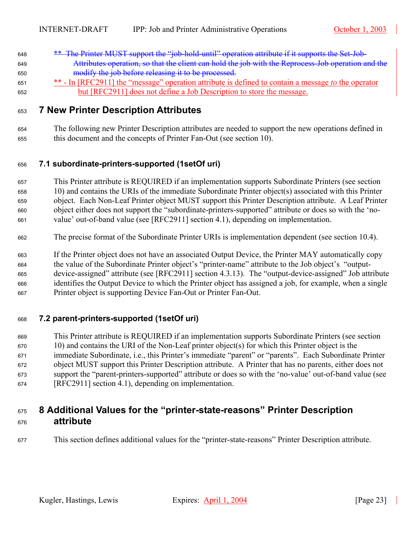- 648 \*\* The Printer MUST support the "job-hold-until" operation attribute if it supports the Set-Job-649 Attributes operation, so that the client can hold the job with the Reprocess-Job operation and the modify the job before releasing it to be processed.
- <sup>\*\*</sup> In [RFC2911] the "message" operation attribute is defined to contain a message *to* the operator but [RFC2911] does not define a Job Description to store the message.

## <span id="page-22-0"></span>**7 New Printer Description Attributes**

The following new Printer Description attributes are needed to support the new operations defined in this document and the concepts of Printer Fan-Out (see section [10\)](#page-23-4).

## <span id="page-22-1"></span>**7.1 subordinate-printers-supported (1setOf uri)**

- This Printer attribute is REQUIRED if an implementation supports Subordinate Printers (see section [10\)](#page-24-2) and contains the URIs of the immediate Subordinate Printer object(s) associated with this Printer object. Each Non-Leaf Printer object MUST support this Printer Description attribute. A Leaf Printer object either does not support the "subordinate-printers-supported" attribute or does so with the 'no-value' out-of-band value (see [RFC2911] section 4.1), depending on implementation.
- The precise format of the Subordinate Printer URIs is implementation dependent (see section [10.4\)](#page-25-1).
- If the Printer object does not have an associated Output Device, the Printer MAY automatically copy the value of the Subordinate Printer object's "printer-name" attribute to the Job object's "output-665 device-assigned" attribute (see [RFC2911] section 4.3.13). The "output-device-assigned" Job attribute <sup>666</sup>identifies the Output Device to which the Printer object has assigned a job, for example, when a single Printer object is supporting Device Fan-Out or Printer Fan-Out.

## <span id="page-22-2"></span>**7.2 parent-printers-supported (1setOf uri)**

This Printer attribute is REQUIRED if an implementation supports Subordinate Printers (see section [10\)](#page-24-2) and contains the URI of the Non-Leaf printer object(s) for which this Printer object is the immediate Subordinate, i.e., this Printer's immediate "parent" or "parents". Each Subordinate Printer object MUST support this Printer Description attribute. A Printer that has no parents, either does not support the "parent-printers-supported" attribute or does so with the 'no-value' out-of-band value (see [RFC2911] section 4.1), depending on implementation.

# <span id="page-22-3"></span>**8 Additional Values for the "printer-state-reasons" Printer Description attribute**

This section defines additional values for the "printer-state-reasons" Printer Description attribute.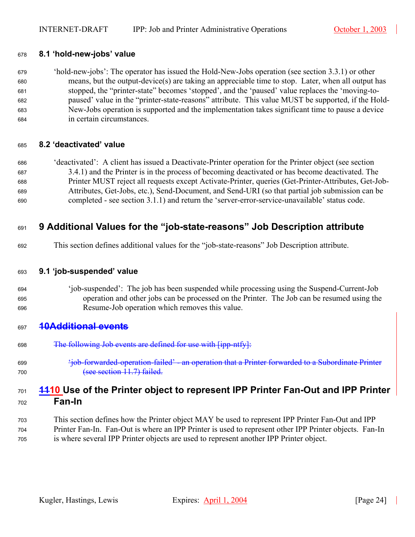#### <span id="page-23-0"></span>**8.1 'hold-new-jobs' value**

'hold-new-jobs': The operator has issued the Hold-New-Jobs operation (see section [3.3.1\)](#page-10-0) or other means, but the output-device(s) are taking an appreciable time to stop. Later, when all output has stopped, the "printer-state" becomes 'stopped', and the 'paused' value replaces the 'moving-to-paused' value in the "printer-state-reasons" attribute. This value MUST be supported, if the Hold-New-Jobs operation is supported and the implementation takes significant time to pause a device in certain circumstances.

#### <span id="page-23-1"></span>**8.2 'deactivated' value**

'deactivated': A client has issued a Deactivate-Printer operation for the Printer object (see section [3.4.1\)](#page-11-1) and the Printer is in the process of becoming deactivated or has become deactivated. The Printer MUST reject all requests except Activate-Printer, queries (Get-Printer-Attributes, Get-Job-Attributes, Get-Jobs, etc.), Send-Document, and Send-URI (so that partial job submission can be completed - see section [3.1.1\)](#page-7-0) and return the 'server-error-service-unavailable' status code.

## <span id="page-23-2"></span>**9 Additional Values for the "job-state-reasons" Job Description attribute**

This section defines additional values for the "job-state-reasons" Job Description attribute.

#### <span id="page-23-3"></span>**9.1 'job-suspended' value**

'job-suspended': The job has been suspended while processing using the Suspend-Current-Job operation and other jobs can be processed on the Printer. The Job can be resumed using the Resume-Job operation which removes this value.

## <span id="page-23-5"></span>**10Additional events**

- 698 The following Job events are defined for use with [ipp-ntfy]:
- 'job-forwarded-operation-failed' an operation that a Printer forwarded to a Subordinate Printer 700 (see section [11.7\)](#page-30-0) failed.

## <span id="page-23-4"></span>**1110 Use of the Printer object to represent IPP Printer Fan-Out and IPP Printer Fan-In**

This section defines how the Printer object MAY be used to represent IPP Printer Fan-Out and IPP Printer Fan-In. Fan-Out is where an IPP Printer is used to represent other IPP Printer objects. Fan-In is where several IPP Printer objects are used to represent another IPP Printer object.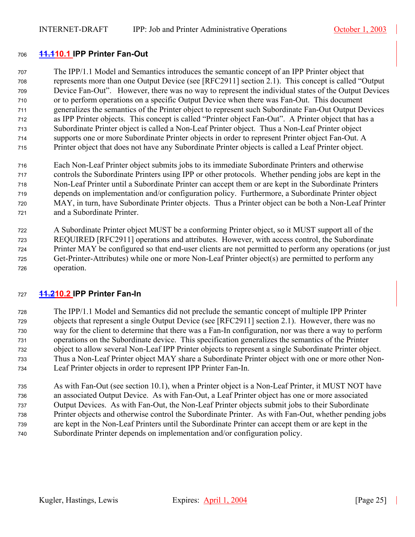## <span id="page-24-0"></span>**11.110.1 IPP Printer Fan-Out**

The IPP/1.1 Model and Semantics introduces the semantic concept of an IPP Printer object that ros represents more than one Output Device (see [RFC2911] section 2.1). This concept is called "Output Device Fan-Out". However, there was no way to represent the individual states of the Output Devices 710 or to perform operations on a specific Output Device when there was Fan-Out. This document generalizes the semantics of the Printer object to represent such Subordinate Fan-Out Output Devices z<sub>12</sub> as IPP Printer objects. This concept is called "Printer object Fan-Out". A Printer object that has a 713 Subordinate Printer object is called a Non-Leaf Printer object. Thus a Non-Leaf Printer object z<sup>14</sup>supports one or more Subordinate Printer objects in order to represent Printer object Fan-Out. A Printer object that does not have any Subordinate Printer objects is called a Leaf Printer object.

- Each Non-Leaf Printer object submits jobs to its immediate Subordinate Printers and otherwise z<sub>17</sub> controls the Subordinate Printers using IPP or other protocols. Whether pending jobs are kept in the Non-Leaf Printer until a Subordinate Printer can accept them or are kept in the Subordinate Printers 719 depends on implementation and/or configuration policy. Furthermore, a Subordinate Printer object MAY, in turn, have Subordinate Printer objects. Thus a Printer object can be both a Non-Leaf Printer 721 and a Subordinate Printer.
- A Subordinate Printer object MUST be a conforming Printer object, so it MUST support all of the REQUIRED [RFC2911] operations and attributes. However, with access control, the Subordinate Printer MAY be configured so that end-user clients are not permitted to perform any operations (or just Get-Printer-Attributes) while one or more Non-Leaf Printer object(s) are permitted to perform any 726 operation.

## <span id="page-24-1"></span>**11.210.2 IPP Printer Fan-In**

The IPP/1.1 Model and Semantics did not preclude the semantic concept of multiple IPP Printer zerobjects that represent a single Output Device (see [RFC2911] section 2.1). However, there was no way for the client to determine that there was a Fan-In configuration, nor was there a way to perform operations on the Subordinate device. This specification generalizes the semantics of the Printer object to allow several Non-Leaf IPP Printer objects to represent a single Subordinate Printer object. Thus a Non-Leaf Printer object MAY share a Subordinate Printer object with one or more other Non-Leaf Printer objects in order to represent IPP Printer Fan-In.

<span id="page-24-2"></span>As with Fan-Out (see section [10.1\)](#page-24-0), when a Printer object is a Non-Leaf Printer, it MUST NOT have an associated Output Device. As with Fan-Out, a Leaf Printer object has one or more associated 737 Output Devices. As with Fan-Out, the Non-Leaf Printer objects submit jobs to their Subordinate Printer objects and otherwise control the Subordinate Printer. As with Fan-Out, whether pending jobs are kept in the Non-Leaf Printers until the Subordinate Printer can accept them or are kept in the Subordinate Printer depends on implementation and/or configuration policy.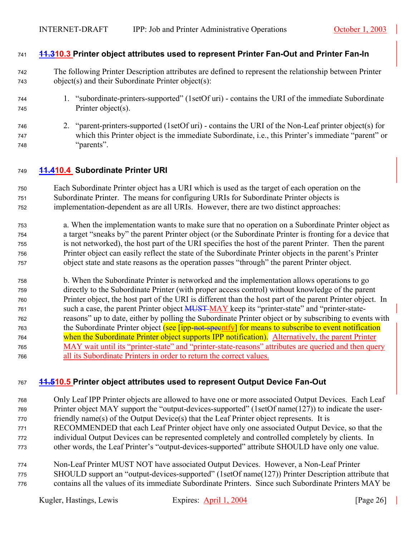## <span id="page-25-0"></span>**11.310.3 Printer object attributes used to represent Printer Fan-Out and Printer Fan-In**

- The following Printer Description attributes are defined to represent the relationship between Printer object(s) and their Subordinate Printer object(s):
- 1. "subordinate-printers-supported" (1setOf uri) contains the URI of the immediate Subordinate Printer object(s).
- 2. "parent-printers-supported (1setOf uri) contains the URI of the Non-Leaf printer object(s) for which this Printer object is the immediate Subordinate, i.e., this Printer's immediate "parent" or "parents".

## <span id="page-25-1"></span>**11.410.4 Subordinate Printer URI**

Each Subordinate Printer object has a URI which is used as the target of each operation on the 751 Subordinate Printer. The means for configuring URIs for Subordinate Printer objects is implementation-dependent as are all URIs. However, there are two distinct approaches:

- a. When the implementation wants to make sure that no operation on a Subordinate Printer object as a target "sneaks by" the parent Printer object (or the Subordinate Printer is fronting for a device that is not networked), the host part of the URI specifies the host of the parent Printer. Then the parent Printer object can easily reflect the state of the Subordinate Printer objects in the parent's Printer 757 biject state and state reasons as the operation passes "through" the parent Printer object.
- b. When the Subordinate Printer is networked and the implementation allows operations to go directly to the Subordinate Printer (with proper access control) without knowledge of the parent 760 Printer object, the host part of the URI is different than the host part of the parent Printer object. In 761 such a case, the parent Printer object **MUST MAY** keep its "printer-state" and "printer-state-reasons" up to date, either by polling the Subordinate Printer object or by subscribing to events with 763 the Subordinate Printer object (see [ipp-not-specntfy] for means to subscribe to event notification 764 when the Subordinate Printer object supports IPP notification). Alternatively, the parent Printer 765 MAY wait until its "printer-state" and "printer-state-reasons" attributes are queried and then query all its Subordinate Printers in order to return the correct values.

#### <span id="page-25-2"></span>**11.510.5 Printer object attributes used to represent Output Device Fan-Out**

Only Leaf IPP Printer objects are allowed to have one or more associated Output Devices. Each Leaf Printer object MAY support the "output-devices-supported" (1setOf name(127)) to indicate the user- friendly name(s) of the Output Device(s) that the Leaf Printer object represents. It is RECOMMENDED that each Leaf Printer object have only one associated Output Device, so that the individual Output Devices can be represented completely and controlled completely by clients. In other words, the Leaf Printer's "output-devices-supported" attribute SHOULD have only one value.

Non-Leaf Printer MUST NOT have associated Output Devices. However, a Non-Leaf Printer 775 SHOULD support an "output-devices-supported" (1setOf name(127)) Printer Description attribute that contains all the values of its immediate Subordinate Printers. Since such Subordinate Printers MAY be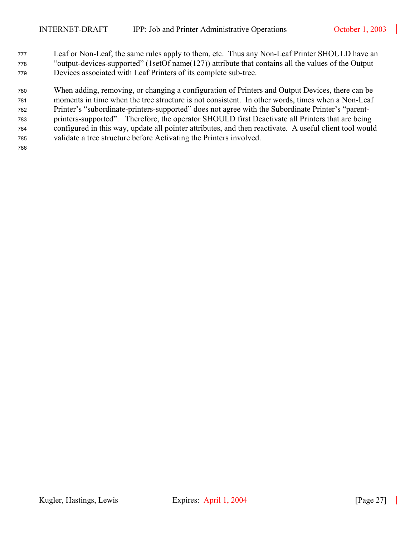177 Leaf or Non-Leaf, the same rules apply to them, etc. Thus any Non-Leaf Printer SHOULD have an <sup>778</sup>"output-devices-supported" (1setOf name(127)) attribute that contains all the values of the Output 779 Devices associated with Leaf Printers of its complete sub-tree.

<sup>780</sup>When adding, removing, or changing a configuration of Printers and Output Devices, there can be 781 moments in time when the tree structure is not consistent. In other words, times when a Non-Leaf 782 Printer's "subordinate-printers-supported" does not agree with the Subordinate Printer's "parent-783 printers-supported". Therefore, the operator SHOULD first Deactivate all Printers that are being zonfigured in this way, update all pointer attributes, and then reactivate. A useful client tool would 785 validate a tree structure before Activating the Printers involved.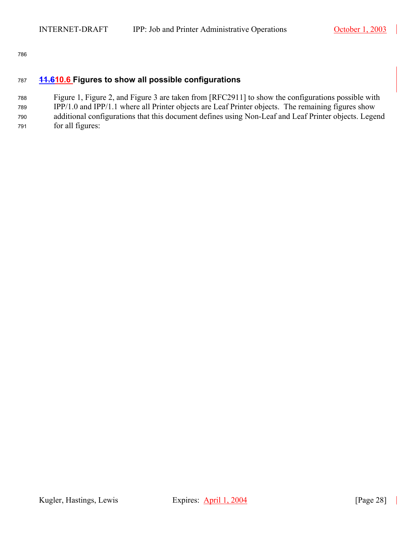## <span id="page-27-0"></span><sup>787</sup>**11.610.6 Figures to show all possible configurations**

<sup>788</sup>[Figure 1,](#page-28-0) [Figure 2,](#page-28-1) and [Figure 3](#page-28-2) are taken from [RFC2911] to show the configurations possible with 789 IPP/1.0 and IPP/1.1 where all Printer objects are Leaf Printer objects. The remaining figures show 790 additional configurations that this document defines using Non-Leaf and Leaf Printer objects. Legend 791 for all figures: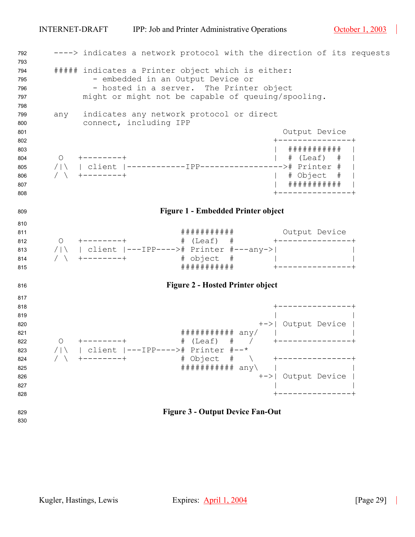<span id="page-28-2"></span><span id="page-28-1"></span><span id="page-28-0"></span>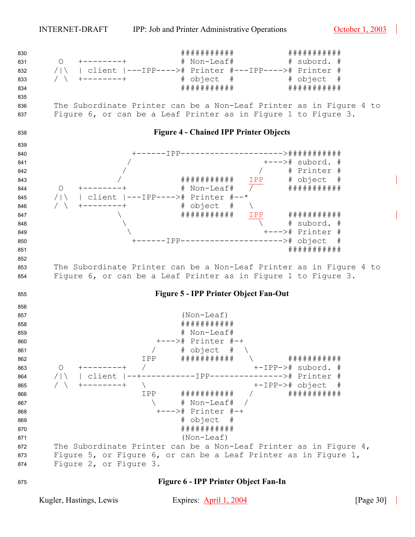<span id="page-29-0"></span>

<span id="page-29-1"></span>

#### **Figure 6 - IPP Printer Object Fan-In**

<span id="page-29-2"></span>Kugler, Hastings, Lewis Expires: April 1, 2004 [Page 30]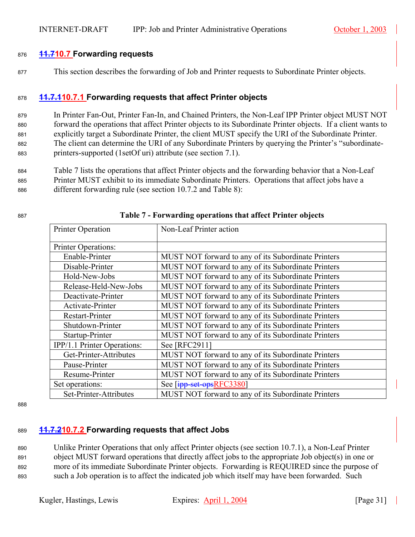## <span id="page-30-0"></span><sup>876</sup>**11.710.7 Forwarding requests**

877 This section describes the forwarding of Job and Printer requests to Subordinate Printer objects.

## <span id="page-30-1"></span><sup>878</sup>**11.7.110.7.1 Forwarding requests that affect Printer objects**

879 In Printer Fan-Out, Printer Fan-In, and Chained Printers, the Non-Leaf IPP Printer object MUST NOT 880 forward the operations that affect Printer objects to its Subordinate Printer objects. If a client wants to 881 explicitly target a Subordinate Printer, the client MUST specify the URI of the Subordinate Printer. 882 The client can determine the URI of any Subordinate Printers by querying the Printer's "subordinate-883 printers-supported (1setOf uri) attribute (see section [7.1\)](#page-22-1).

884 [Table 7](#page-30-3) lists the operations that affect Printer objects and the forwarding behavior that a Non-Leaf 885 Printer MUST exhibit to its immediate Subordinate Printers. Operations that affect jobs have a 886 different forwarding rule (see section [10.7.2](#page-30-2) and [Table 8\)](#page-32-0):

<span id="page-30-3"></span>

| Printer Operation           | Non-Leaf Printer action                             |  |  |
|-----------------------------|-----------------------------------------------------|--|--|
| Printer Operations:         |                                                     |  |  |
| Enable-Printer              | MUST NOT forward to any of its Subordinate Printers |  |  |
| Disable-Printer             | MUST NOT forward to any of its Subordinate Printers |  |  |
| Hold-New-Jobs               | MUST NOT forward to any of its Subordinate Printers |  |  |
| Release-Held-New-Jobs       | MUST NOT forward to any of its Subordinate Printers |  |  |
| Deactivate-Printer          | MUST NOT forward to any of its Subordinate Printers |  |  |
| Activate-Printer            | MUST NOT forward to any of its Subordinate Printers |  |  |
| Restart-Printer             | MUST NOT forward to any of its Subordinate Printers |  |  |
| Shutdown-Printer            | MUST NOT forward to any of its Subordinate Printers |  |  |
| Startup-Printer             | MUST NOT forward to any of its Subordinate Printers |  |  |
| IPP/1.1 Printer Operations: | See [RFC2911]                                       |  |  |
| Get-Printer-Attributes      | MUST NOT forward to any of its Subordinate Printers |  |  |
| Pause-Printer               | MUST NOT forward to any of its Subordinate Printers |  |  |
| Resume-Printer              | MUST NOT forward to any of its Subordinate Printers |  |  |
| Set operations:             | See [ipp-set-opsRFC3380]                            |  |  |
| Set-Printer-Attributes      | MUST NOT forward to any of its Subordinate Printers |  |  |

#### <sup>887</sup>**Table 7 - Forwarding operations that affect Printer objects**

888

## <span id="page-30-2"></span><sup>889</sup>**11.7.210.7.2 Forwarding requests that affect Jobs**

890 Unlike Printer Operations that only affect Printer objects (see section [10.7.1\)](#page-30-1), a Non-Leaf Printer 891 object MUST forward operations that directly affect jobs to the appropriate Job object(s) in one or 892 more of its immediate Subordinate Printer objects. Forwarding is REQUIRED since the purpose of 893 such a Job operation is to affect the indicated job which itself may have been forwarded. Such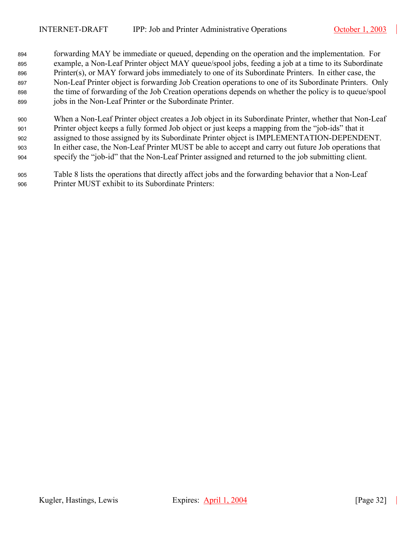- 894 forwarding MAY be immediate or queued, depending on the operation and the implementation. For 895 example, a Non-Leaf Printer object MAY queue/spool jobs, feeding a job at a time to its Subordinate 896 Printer(s), or MAY forward jobs immediately to one of its Subordinate Printers. In either case, the 897 Non-Leaf Printer object is forwarding Job Creation operations to one of its Subordinate Printers. Only 898 the time of forwarding of the Job Creation operations depends on whether the policy is to queue/spool 899 jobs in the Non-Leaf Printer or the Subordinate Printer.
- <sup>900</sup>When a Non-Leaf Printer object creates a Job object in its Subordinate Printer, whether that Non-Leaf <sup>901</sup>Printer object keeps a fully formed Job object or just keeps a mapping from the "job-ids" that it 902 assigned to those assigned by its Subordinate Printer object is IMPLEMENTATION-DEPENDENT. <sup>903</sup>In either case, the Non-Leaf Printer MUST be able to accept and carry out future Job operations that <sup>904</sup>specify the "job-id" that the Non-Leaf Printer assigned and returned to the job submitting client.
- <sup>905</sup>[Table 8](#page-32-0) lists the operations that directly affect jobs and the forwarding behavior that a Non-Leaf 906 Printer MUST exhibit to its Subordinate Printers: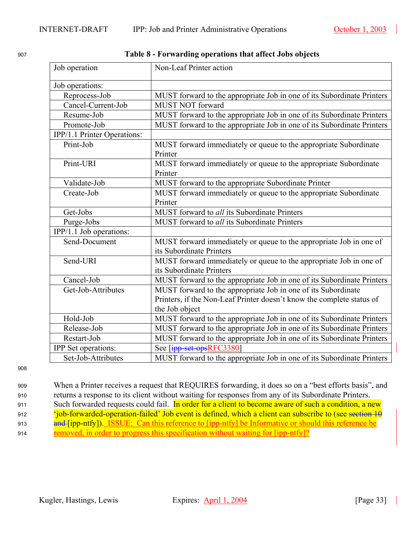<span id="page-32-0"></span><sup>907</sup>**Table 8 - Forwarding operations that affect Jobs objects** 

| Job operation               | Non-Leaf Printer action                                                |
|-----------------------------|------------------------------------------------------------------------|
| Job operations:             |                                                                        |
| Reprocess-Job               | MUST forward to the appropriate Job in one of its Subordinate Printers |
| Cancel-Current-Job          | <b>MUST NOT forward</b>                                                |
| Resume-Job                  | MUST forward to the appropriate Job in one of its Subordinate Printers |
| Promote-Job                 | MUST forward to the appropriate Job in one of its Subordinate Printers |
| IPP/1.1 Printer Operations: |                                                                        |
| Print-Job                   | MUST forward immediately or queue to the appropriate Subordinate       |
|                             | Printer                                                                |
| Print-URI                   | MUST forward immediately or queue to the appropriate Subordinate       |
|                             | Printer                                                                |
| Validate-Job                | MUST forward to the appropriate Subordinate Printer                    |
| Create-Job                  | MUST forward immediately or queue to the appropriate Subordinate       |
|                             | Printer                                                                |
| Get-Jobs                    | MUST forward to all its Subordinate Printers                           |
| Purge-Jobs                  | MUST forward to all its Subordinate Printers                           |
| IPP/1.1 Job operations:     |                                                                        |
| Send-Document               | MUST forward immediately or queue to the appropriate Job in one of     |
|                             | its Subordinate Printers                                               |
| Send-URI                    | MUST forward immediately or queue to the appropriate Job in one of     |
|                             | its Subordinate Printers                                               |
| Cancel-Job                  | MUST forward to the appropriate Job in one of its Subordinate Printers |
| Get-Job-Attributes          | MUST forward to the appropriate Job in one of its Subordinate          |
|                             | Printers, if the Non-Leaf Printer doesn't know the complete status of  |
|                             | the Job object                                                         |
| Hold-Job                    | MUST forward to the appropriate Job in one of its Subordinate Printers |
| Release-Job                 | MUST forward to the appropriate Job in one of its Subordinate Printers |
| Restart-Job                 | MUST forward to the appropriate Job in one of its Subordinate Printers |
| <b>IPP</b> Set operations:  | See [ipp-set-opsRFC3380]                                               |
| Set-Job-Attributes          | MUST forward to the appropriate Job in one of its Subordinate Printers |

908

<sup>909</sup>When a Printer receives a request that REQUIRES forwarding, it does so on a "best efforts basis", and 910 returns a response to its client without waiting for responses from any of its Subordinate Printers. 911 Such forwarded requests could fail. In order for a client to become aware of such a condition, a new 912 'job-forwarded-operation-failed' Job event is defined, which a client can subscribe to (see section [10](#page-23-5) 913 **and [ipp-ntfy]).** ISSUE: Can this reference to [ipp-ntfy] be Informative or should this reference be 914 removed, in order to progress this specification without waiting for [ipp-ntfy]?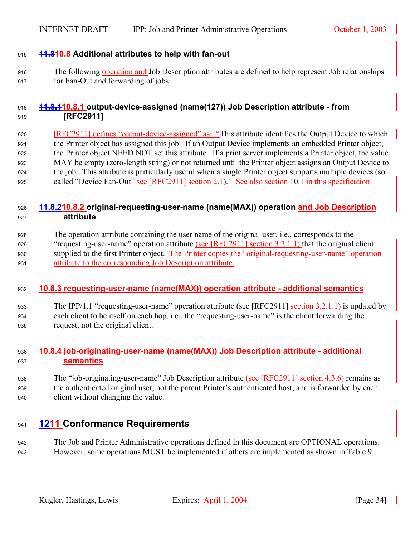## <span id="page-33-0"></span><sup>915</sup>**11.810.8 Additional attributes to help with fan-out**

916 The following operation and Job Description attributes are defined to help represent Job relationships 917 for Fan-Out and forwarding of jobs:

## <span id="page-33-1"></span><sup>918</sup>**11.8.110.8.1 output-device-assigned (name(127)) Job Description attribute - from**  <sup>919</sup>**[RFC2911]**

920 [RFC2911] defines "output-device-assigned" as: "This attribute identifies the Output Device to which 921 the Printer object has assigned this job. If an Output Device implements an embedded Printer object, 922 the Printer object NEED NOT set this attribute. If a print server implements a Printer object, the value <sup>923</sup>MAY be empty (zero-length string) or not returned until the Printer object assigns an Output Device to 924 the job. This attribute is particularly useful when a single Printer object supports multiple devices (so 925 called "Device Fan-Out" see [RFC2911] section 2.1)." See also section [10.1](#page-24-0) in this specification.

## <span id="page-33-2"></span><sup>926</sup>**11.8.210.8.2 original-requesting-user-name (name(MAX)) operation and Job Description**  <sup>927</sup>**attribute**

<sup>928</sup>The operation attribute containing the user name of the original user, i.e., corresponds to the 929 "requesting-user-name" operation attribute (see [RFC2911] section 3.2.1.1) that the original client 930 supplied to the first Printer object. The Printer copies the "original-requesting-user-name" operation <sup>931</sup>attribute to the corresponding Job Description attribute.

## <span id="page-33-3"></span><sup>932</sup>**10.8.3 requesting-user-name (name(MAX)) operation attribute - additional semantics**

933 The IPP/1.1 "requesting-user-name" operation attribute (see [RFC2911] section 3.2.1.1) is updated by <sup>934</sup>each client to be itself on each hop, i.e., the "requesting-user-name" is the client forwarding the 935 request, not the original client.

## <span id="page-33-4"></span><sup>936</sup>**10.8.4 job-originating-user-name (name(MAX)) Job Description attribute - additional**  <sup>937</sup>**semantics**

## 938 The "job-originating-user-name" Job Description attribute (see [RFC2911] section 4.3.6) remains as 939 the authenticated original user, not the parent Printer's authenticated host, and is forwarded by each 940 client without changing the value.

## <span id="page-33-5"></span><sup>941</sup>**1211 Conformance Requirements**

942 The Job and Printer Administrative operations defined in this document are OPTIONAL operations. 943 However, some operations MUST be implemented if others are implemented as shown in [Table 9.](#page-34-0)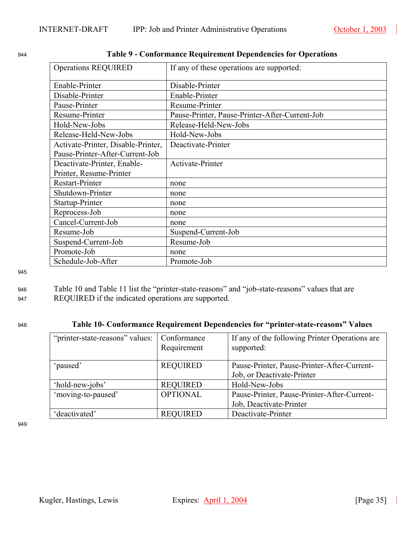| <b>Operations REQUIRED</b>         | If any of these operations are supported:      |
|------------------------------------|------------------------------------------------|
| Enable-Printer                     | Disable-Printer                                |
|                                    |                                                |
| Disable-Printer                    | Enable-Printer                                 |
| Pause-Printer                      | Resume-Printer                                 |
| Resume-Printer                     | Pause-Printer, Pause-Printer-After-Current-Job |
| Hold-New-Jobs                      | Release-Held-New-Jobs                          |
| Release-Held-New-Jobs              | Hold-New-Jobs                                  |
| Activate-Printer, Disable-Printer, | Deactivate-Printer                             |
| Pause-Printer-After-Current-Job    |                                                |
| Deactivate-Printer, Enable-        | Activate-Printer                               |
| Printer, Resume-Printer            |                                                |
| <b>Restart-Printer</b>             | none                                           |
| Shutdown-Printer                   | none                                           |
| Startup-Printer                    | none                                           |
| Reprocess-Job                      | none                                           |
| Cancel-Current-Job                 | none                                           |
| Resume-Job                         | Suspend-Current-Job                            |
| Suspend-Current-Job                | Resume-Job                                     |
| Promote-Job                        | none                                           |
| Schedule-Job-After                 | Promote-Job                                    |

## <span id="page-34-0"></span><sup>944</sup>**Table 9 - Conformance Requirement Dependencies for Operations**

945

| 946 | Table 10 and Table 11 list the "printer-state-reasons" and "job-state-reasons" values that are |
|-----|------------------------------------------------------------------------------------------------|
| 947 | REQUIRED if the indicated operations are supported.                                            |

## <sup>948</sup>**Table 10- Conformance Requirement Dependencies for "printer-state-reasons" Values**

<span id="page-34-1"></span>

| "printer-state-reasons" values: | Conformance<br>Requirement | If any of the following Printer Operations are<br>supported:              |
|---------------------------------|----------------------------|---------------------------------------------------------------------------|
| 'paused'                        | <b>REQUIRED</b>            | Pause-Printer, Pause-Printer-After-Current-<br>Job, or Deactivate-Printer |
| 'hold-new-jobs'                 | <b>REQUIRED</b>            | Hold-New-Jobs                                                             |
| 'moving-to-paused'              | <b>OPTIONAL</b>            | Pause-Printer, Pause-Printer-After-Current-                               |
|                                 |                            | Job, Deactivate-Printer                                                   |
| 'deactivated'                   | <b>REQUIRED</b>            | Deactivate-Printer                                                        |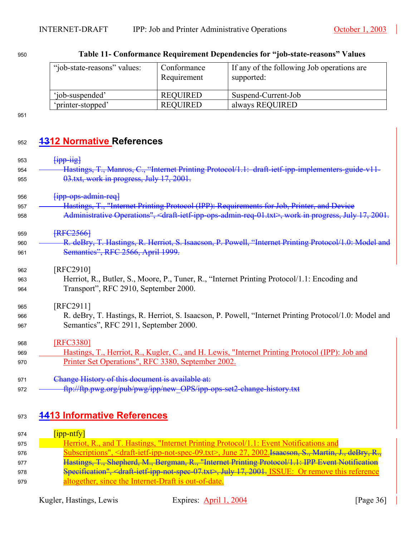<span id="page-35-2"></span>

| "job-state-reasons" values: | Conformance<br>Requirement | If any of the following Job operations are<br>supported: |
|-----------------------------|----------------------------|----------------------------------------------------------|
| 'iob-suspended'             | REOUIRED                   | Suspend-Current-Job                                      |
| 'printer-stopped'           | <b>REQUIRED</b>            | always REQUIRED                                          |

| 950 |  | Table 11- Conformance Requirement Dependencies for "job-state-reasons" Values |
|-----|--|-------------------------------------------------------------------------------|
|     |  |                                                                               |

# <span id="page-35-0"></span><sup>952</sup>**1312 Normative References**

| 953 | $\overline{H}$                                                                                                                            |
|-----|-------------------------------------------------------------------------------------------------------------------------------------------|
| 954 | Hastings, T., Manros, C., "Internet Printing Protocol/1.1: draft-ietf-ipp-implementers-guide-v11-                                         |
| 955 | 03.txt, work in progress, July 17, 2001.                                                                                                  |
| 956 | $f$ ipp-ops-admin-req $\}$                                                                                                                |
| 957 | Hastings, T., "Internet Printing Protocol (IPP): Requirements for Job, Printer, and Device                                                |
| 958 | Administrative Operations", <draft-ietf-ipp-ops-admin-req-01.txt>, work in progress, July 17, 2001.</draft-ietf-ipp-ops-admin-req-01.txt> |
| 959 | <b>RFC25661</b>                                                                                                                           |
| 960 | R. deBry, T. Hastings, R. Herriot, S. Isaacson, P. Powell, "Internet Printing Protocol/1.0: Model and                                     |
| 961 | Semantics", RFC 2566, April 1999.                                                                                                         |
| 962 | [RFC2910]                                                                                                                                 |
| 963 | Herriot, R., Butler, S., Moore, P., Tuner, R., "Internet Printing Protocol/1.1: Encoding and                                              |
| 964 | Transport", RFC 2910, September 2000.                                                                                                     |
| 965 | [RFC2911]                                                                                                                                 |
| 966 | R. deBry, T. Hastings, R. Herriot, S. Isaacson, P. Powell, "Internet Printing Protocol/1.0: Model and                                     |
| 967 | Semantics", RFC 2911, September 2000.                                                                                                     |
| 968 | [RFC3380]                                                                                                                                 |
| 969 | Hastings, T., Herriot, R., Kugler, C., and H. Lewis, "Internet Printing Protocol (IPP): Job and                                           |
| 970 | Printer Set Operations", RFC 3380, September 2002.                                                                                        |
| 971 | Change History of this document is available at:                                                                                          |
| 972 | ftp://ftp.pwg.org/pub/pwg/ipp/new_OPS/ipp-ops-set2-change-history.txt                                                                     |

# <span id="page-35-1"></span><sup>973</sup>**1413 Informative References**

| 974 | $\lceil$ ipp-ntfy]                                                                                                                     |
|-----|----------------------------------------------------------------------------------------------------------------------------------------|
| 975 | Herriot, R., and T. Hastings. "Internet Printing Protocol/1.1: Event Notifications and                                                 |
| 976 | Subscriptions", <draft-ietf-ipp-not-spec-09.txt>, June 27, 2002. Isaacson, S., Martin, J., deBry, R.,</draft-ietf-ipp-not-spec-09.txt> |
| 977 | Hastings, T., Shepherd, M., Bergman, R., "Internet Printing Protocol/1.1: IPP Event Notification                                       |
| 978 | Specification", <draft-ietf-ipp-not-spec-07.txt>, July 17, 2001. ISSUE: Or remove this reference</draft-ietf-ipp-not-spec-07.txt>      |
| 979 | altogether, since the Internet-Draft is out-of-date.                                                                                   |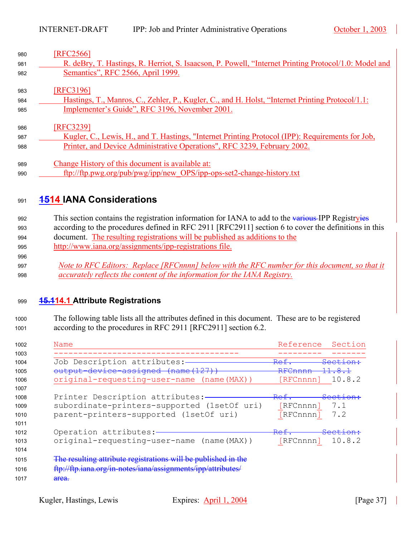| 980 | [RFC2566]                                                                                             |
|-----|-------------------------------------------------------------------------------------------------------|
| 981 | R. deBry, T. Hastings, R. Herriot, S. Isaacson, P. Powell, "Internet Printing Protocol/1.0: Model and |
| 982 | Semantics", RFC 2566, April 1999.                                                                     |
| 983 | [RFC3196]                                                                                             |
| 984 | Hastings, T., Manros, C., Zehler, P., Kugler, C., and H. Holst, "Internet Printing Protocol/1.1:      |
| 985 | Implementer's Guide", RFC 3196, November 2001.                                                        |
|     |                                                                                                       |
| 986 | [RFC3239]                                                                                             |
| 987 | Kugler, C., Lewis, H., and T. Hastings, "Internet Printing Protocol (IPP): Requirements for Job,      |
| 988 | Printer, and Device Administrative Operations", RFC 3239, February 2002.                              |
|     |                                                                                                       |
| 989 | Change History of this document is available at:                                                      |
| 990 | ftp://ftp.pwg.org/pub/pwg/ipp/new_OPS/ipp-ops-set2-change-history.txt                                 |

# <span id="page-36-0"></span>**1514 IANA Considerations**

992 This section contains the registration information for IANA to add to the various IPP Registryies 993 according to the procedures defined in RFC 2911 [RFC2911] section 6 to cover the definitions in this document. The resulting registrations will be published as additions to the

- 995 http://www.iana.org/assignments/ipp-registrations file.
- *Note to RFC Editors: Replace [RFCnnnn] below with the RFC number for this document, so that it accurately reflects the content of the information for the IANA Registry.*

## <span id="page-36-1"></span>**15.114.1 Attribute Registrations**

The following table lists all the attributes defined in this document. These are to be registered 1001 according to the procedures in RFC 2911 [RFC2911] section 6.2.

| 1002         | Name                                                           | Reference<br>Section                  |  |
|--------------|----------------------------------------------------------------|---------------------------------------|--|
| 1003<br>1004 | Job Description attributes:-                                   | Ref<br><del>Section:</del>            |  |
| 1005         | output-device-assigned (name(127))                             | RFCnnnn                               |  |
| 1006         | original-requesting-user-name (name (MAX))                     | 10.8.2<br>[RFCnnnn]                   |  |
| 1007         |                                                                |                                       |  |
| 1008         | Printer Description attributes:-                               | Ref.<br><del>Section:</del>           |  |
| 1009         | subordinate-printers-supported (1set Of uri)                   | [RFCnnnn]<br>7.1                      |  |
| 1010         | parent-printers-supported (1setOf uri)                         | [RFCnnnn]<br>7.2                      |  |
| 1011         |                                                                |                                       |  |
| 1012         | Operation attributes:-                                         | <del>Ref.</del><br><del>Section</del> |  |
| 1013         | original-requesting-user-name (name(MAX))                      | 10.8.2<br>[RFCnnnn]                   |  |
| 1014         |                                                                |                                       |  |
| 1015         | The resulting attribute registrations will be published in the |                                       |  |
| 1016         | ftp://ftp.iana.org/in-notes/iana/assignments/ipp/attributes/   |                                       |  |
| 1017         | <del>area.</del>                                               |                                       |  |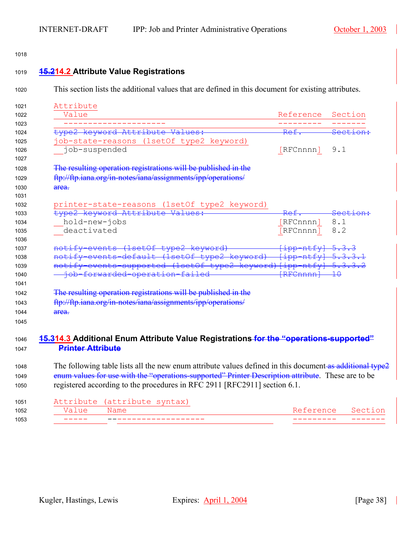<span id="page-37-1"></span><span id="page-37-0"></span>

| Attribute                                                                                                |                                                                                                                                                                                                                                                                                                           |                     |
|----------------------------------------------------------------------------------------------------------|-----------------------------------------------------------------------------------------------------------------------------------------------------------------------------------------------------------------------------------------------------------------------------------------------------------|---------------------|
|                                                                                                          |                                                                                                                                                                                                                                                                                                           |                     |
| Value                                                                                                    | Reference                                                                                                                                                                                                                                                                                                 | Section             |
|                                                                                                          | Ref.                                                                                                                                                                                                                                                                                                      | Section             |
| type2 keyword Attribute Values:<br>job-state-reasons (1setOf type2 keyword)                              |                                                                                                                                                                                                                                                                                                           |                     |
| job-suspended                                                                                            | [RFCnnnn] 9.1                                                                                                                                                                                                                                                                                             |                     |
|                                                                                                          |                                                                                                                                                                                                                                                                                                           |                     |
| The resulting operation registrations will be published in the                                           |                                                                                                                                                                                                                                                                                                           |                     |
| ftp://ftp.iana.org/in-notes/iana/assignments/ipp/operations/                                             |                                                                                                                                                                                                                                                                                                           |                     |
| area.                                                                                                    |                                                                                                                                                                                                                                                                                                           |                     |
|                                                                                                          |                                                                                                                                                                                                                                                                                                           |                     |
| printer-state-reasons (1setOf type2 keyword)                                                             |                                                                                                                                                                                                                                                                                                           |                     |
| type2 keyword Attribute Values:                                                                          | <del>Ref</del>                                                                                                                                                                                                                                                                                            | <del>Section:</del> |
| hold-new-jobs                                                                                            | [RFCnnnn]                                                                                                                                                                                                                                                                                                 | 8.1                 |
| deactivated                                                                                              | [RFCnnnn]                                                                                                                                                                                                                                                                                                 | 8.2                 |
|                                                                                                          |                                                                                                                                                                                                                                                                                                           |                     |
| tify-events (1setOf type2 keyword)                                                                       | $\frac{1}{2}$ + $\frac{1}{2}$ + $\frac{1}{2}$ + $\frac{1}{2}$ + $\frac{1}{2}$ + $\frac{1}{2}$ + $\frac{1}{2}$ + $\frac{1}{2}$ + $\frac{1}{2}$ + $\frac{1}{2}$ + $\frac{1}{2}$ + $\frac{1}{2}$ + $\frac{1}{2}$ + $\frac{1}{2}$ + $\frac{1}{2}$ + $\frac{1}{2}$ + $\frac{1}{2}$ + $\frac{1}{2}$ + $\frac{1$ |                     |
| notify-events-default (1setOf type2 keyword) [ipp-ntfy] 5.3.3.1                                          |                                                                                                                                                                                                                                                                                                           |                     |
| notify-events-supported (1setOf type2 keyword) [ipp-ntfy] 5.3.3.2                                        |                                                                                                                                                                                                                                                                                                           |                     |
| - job-forwarded-operation-failed                                                                         | $F$ R $F$ Cnnnn $+$ $+$ $+$ $+$ $+$ $+$                                                                                                                                                                                                                                                                   |                     |
|                                                                                                          |                                                                                                                                                                                                                                                                                                           |                     |
| The resulting operation registrations will be published in the                                           |                                                                                                                                                                                                                                                                                                           |                     |
| ftp://ftp.iana.org/in-notes/iana/assignments/ipp/operations/                                             |                                                                                                                                                                                                                                                                                                           |                     |
| <del>area.</del>                                                                                         |                                                                                                                                                                                                                                                                                                           |                     |
|                                                                                                          |                                                                                                                                                                                                                                                                                                           |                     |
|                                                                                                          |                                                                                                                                                                                                                                                                                                           |                     |
| <b>15.314.3</b> Additional Enum Attribute Value Registrations for the "operations-supported"             |                                                                                                                                                                                                                                                                                                           |                     |
| <b>Printer Attribute</b>                                                                                 |                                                                                                                                                                                                                                                                                                           |                     |
| The following table lists all the new enum attribute values defined in this document-as additional type2 |                                                                                                                                                                                                                                                                                                           |                     |
| enum values for use with the "operations-supported" Printer Description attribute. These are to be       |                                                                                                                                                                                                                                                                                                           |                     |
| registered according to the procedures in RFC 2911 [RFC2911] section 6.1.                                |                                                                                                                                                                                                                                                                                                           |                     |
|                                                                                                          |                                                                                                                                                                                                                                                                                                           |                     |
|                                                                                                          |                                                                                                                                                                                                                                                                                                           |                     |
| Attribute<br>(attribute syntax)                                                                          |                                                                                                                                                                                                                                                                                                           |                     |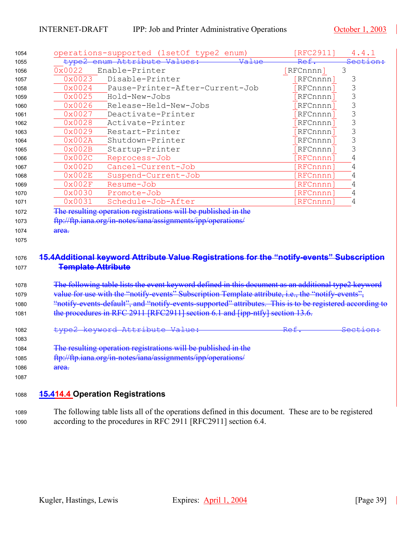<span id="page-38-0"></span>

| type2            | operations-supported (1setOf type2 enum)                                                                                                                                                  | [RFC2911] | 4.4.1                                                                                     |
|------------------|-------------------------------------------------------------------------------------------------------------------------------------------------------------------------------------------|-----------|-------------------------------------------------------------------------------------------|
|                  | enum Attribute Values:<br>Value                                                                                                                                                           | Ref.      |                                                                                           |
| 0x0022           | Enable-Printer                                                                                                                                                                            | [RFCnnnn] | 3                                                                                         |
| 0x0023           | Disable-Printer                                                                                                                                                                           | [RFCnnnn] | 3                                                                                         |
| 0x0024           | Pause-Printer-After-Current-Job                                                                                                                                                           | [RFCnnnn] | 3                                                                                         |
| 0x0025           | Hold-New-Jobs                                                                                                                                                                             | [RFCnnnn] | 3                                                                                         |
| 0x0026           | Release-Held-New-Jobs                                                                                                                                                                     | [RFCnnnn] | 3                                                                                         |
| 0x0027           | Deactivate-Printer                                                                                                                                                                        | [RFCnnnn] | 3                                                                                         |
| 0x0028           | Activate-Printer                                                                                                                                                                          | [RFCnnnn] | 3                                                                                         |
| 0x0029           | Restart-Printer                                                                                                                                                                           | [RFCnnnn] | 3                                                                                         |
| 0x002A           | Shutdown-Printer                                                                                                                                                                          | [RFCnnnn] | 3                                                                                         |
| 0x002B           | Startup-Printer                                                                                                                                                                           | [RFCnnnn] | 3                                                                                         |
| 0x002C           | Reprocess-Job                                                                                                                                                                             | [RFCnnnn] | 4                                                                                         |
| 0x002D           | Cancel-Current-Job                                                                                                                                                                        | [RFCnnnn] | 4                                                                                         |
| 0x002E           | Suspend-Current-Job                                                                                                                                                                       | [RFCnnnn] | 4                                                                                         |
| 0x002F           | Resume-Job                                                                                                                                                                                | [RFCnnnn] | 4                                                                                         |
| 0x0030           | Promote-Job                                                                                                                                                                               | [RFCnnnn] | 4                                                                                         |
| 0x0031           | Schedule-Job-After                                                                                                                                                                        | [RFCnnnn] | 4                                                                                         |
|                  |                                                                                                                                                                                           |           |                                                                                           |
|                  | <b>Template Attribute</b>                                                                                                                                                                 |           | 15.4Additional keyword Attribute Value Registrations for the "notify-events" Subscription |
|                  |                                                                                                                                                                                           |           |                                                                                           |
|                  | The following table lists the event keyword defined in this document as an additional type2 keyword                                                                                       |           |                                                                                           |
|                  | value for use with the "notify-events" Subscription Template attribute, i.e., the "notify-events",                                                                                        |           |                                                                                           |
|                  | "notify events default", and "notify events supported" attributes. This is to be registered according to<br>the procedures in RFC 2911 [RFC2911] section 6.1 and [ipp-ntfy] section 13.6. |           |                                                                                           |
|                  | type2 keyword Attribute Value:                                                                                                                                                            |           |                                                                                           |
|                  |                                                                                                                                                                                           |           |                                                                                           |
|                  | The resulting operation registrations will be published in the                                                                                                                            |           |                                                                                           |
|                  | ftp://ftp.iana.org/in-notes/iana/assignments/ipp/operations/                                                                                                                              |           |                                                                                           |
| <del>area.</del> |                                                                                                                                                                                           |           |                                                                                           |
|                  |                                                                                                                                                                                           |           |                                                                                           |
|                  | <b>15.414.4 Operation Registrations</b>                                                                                                                                                   |           |                                                                                           |
|                  |                                                                                                                                                                                           |           |                                                                                           |
|                  | The following table lists all of the operations defined in this document. These are to be registered<br>according to the procedures in RFC 2911 [RFC2911] section 6.4.                    |           |                                                                                           |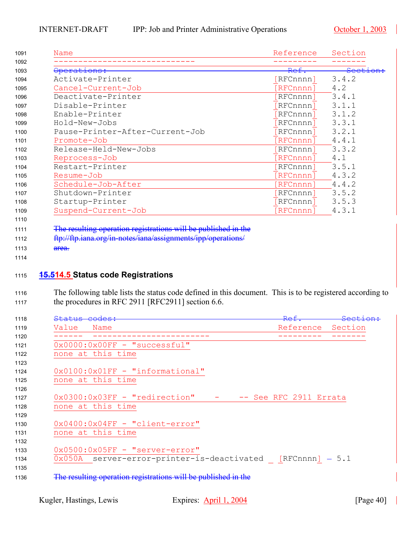| 1091 | Name                            | Reference | Section             |
|------|---------------------------------|-----------|---------------------|
| 1092 |                                 |           |                     |
| 1093 | Operations:                     | Ref.      | <del>Section:</del> |
| 1094 | Activate-Printer                | RFCnnnn]  | 3.4.2               |
| 1095 | Cancel-Current-Job              | RFCnnnn]  | 4.2                 |
| 1096 | Deactivate-Printer              | RFCnnnn]  | 3.4.1               |
| 1097 | Disable-Printer                 | RFCnnnn]  | 3.1.1               |
| 1098 | Enable-Printer                  | RFCnnnn]  | 3.1.2               |
| 1099 | Hold-New-Jobs                   | RFCnnnn]  | 3.3.1               |
| 1100 | Pause-Printer-After-Current-Job | RFCnnnn]  | 3.2.1               |
| 1101 | Promote-Job                     | RFCnnnn]  | 4.4.1               |
| 1102 | Release-Held-New-Jobs           | RFCnnnn]  | 3.3.2               |
| 1103 | Reprocess-Job                   | RFCnnnn]  | 4.1                 |
| 1104 | Restart-Printer                 | RFCnnnn]  | 3.5.1               |
| 1105 | Resume-Job                      | RFCnnnn]  | 4.3.2               |
| 1106 | Schedule-Job-After              | RFCnnnn]  | 4.4.2               |
| 1107 | Shutdown-Printer                | RFCnnnn]  | 3.5.2               |
| 1108 | Startup-Printer                 | RFCnnnn]  | 3.5.3               |
| 1109 | Suspend-Current-Job             | RFCnnnn]  | 4.3.1               |
| 1110 |                                 |           |                     |

- 1111 The resulting operation registrations will be published in the
- 1112 ftp://ftp.iana.org/in-notes/iana/assignments/ipp/operations/
- 1113 area.

## <span id="page-39-0"></span>**15.514.5 Status code Registrations**

1116 The following table lists the status code defined in this document. This is to be registered according to 1117 the procedures in RFC 2911 [RFC2911] section 6.6.

| 1118 | <del>Status codes:</del>                                       | <del>Ref.</del>        | <del>Section:</del> |
|------|----------------------------------------------------------------|------------------------|---------------------|
| 1119 | Value<br>Name                                                  | Reference              | Section             |
| 1120 |                                                                |                        |                     |
| 1121 | $0x0000:0x00FF - "successful"$                                 |                        |                     |
| 1122 | none at this time                                              |                        |                     |
| 1123 |                                                                |                        |                     |
| 1124 | $0x0100:0x01FF - "informational"$                              |                        |                     |
| 1125 | none at this time                                              |                        |                     |
| 1126 |                                                                |                        |                     |
| 1127 | 0x0300:0x03FF - "redirection"                                  | -- See RFC 2911 Errata |                     |
| 1128 | none at this time                                              |                        |                     |
| 1129 |                                                                |                        |                     |
| 1130 | $0x0400:0x04FF - "client-error"$                               |                        |                     |
| 1131 | none at this time                                              |                        |                     |
| 1132 |                                                                |                        |                     |
| 1133 | 0x0500:0x05FF - "server-error"                                 |                        |                     |
| 1134 | $0x050A$ server-error-printer-is-deactivated [RFCnnnn] - 5.1   |                        |                     |
| 1135 |                                                                |                        |                     |
| 1136 | The resulting operation registrations will be published in the |                        |                     |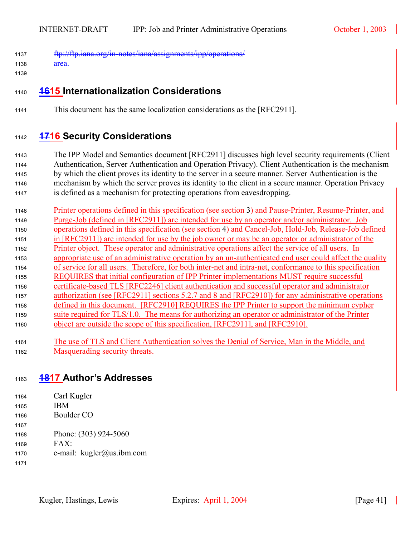- 1137 ftp://ftp.iana.org/in-notes/iana/assignments/ipp/operations/
- 1138 area.
- 1139

# <span id="page-40-0"></span><sup>1140</sup>**1615 Internationalization Considerations**

<sup>1141</sup>This document has the same localization considerations as the [RFC2911].

# <span id="page-40-1"></span><sup>1142</sup>**1716 Security Considerations**

The IPP Model and Semantics document [RFC2911] discusses high level security requirements (Client 1144 Authentication, Server Authentication and Operation Privacy). Client Authentication is the mechanism by which the client proves its identity to the server in a secure manner. Server Authentication is the mechanism by which the server proves its identity to the client in a secure manner. Operation Privacy is defined as a mechanism for protecting operations from eavesdropping.

- 1148 Printer operations defined in this specification (see section [3\)](#page-5-0) and Pause-Printer, Resume-Printer, and 1149 Purge-Job (defined in [RFC2911]) are intended for use by an operator and/or administrator. Job 1150 operations defined in this specification (see section [4\)](#page-14-0) and Cancel-Job, Hold-Job, Release-Job defined <sup>1151</sup>in [RFC2911]) are intended for use by the job owner or may be an operator or administrator of the 1152 Printer object. These operator and administrative operations affect the service of all users. In 1153 appropriate use of an administrative operation by an un-authenticated end user could affect the quality 1154 of service for all users. Therefore, for both inter-net and intra-net, conformance to this specification <sup>1155</sup>REQUIRES that initial configuration of IPP Printer implementations MUST require successful 1156 certificate-based TLS [RFC2246] client authentication and successful operator and administrator 1157 authorization (see [RFC2911] sections 5.2.7 and 8 and [RFC2910]) for any administrative operations <sup>1158</sup>defined in this document. [RFC2910] REQUIRES the IPP Printer to support the minimum cypher <sup>1159</sup>suite required for TLS/1.0. The means for authorizing an operator or administrator of the Printer 1160 object are outside the scope of this specification, [RFC2911], and [RFC2910].
- <sup>1161</sup>The use of TLS and Client Authentication solves the Denial of Service, Man in the Middle, and 1162 Masquerading security threats.

## <span id="page-40-2"></span><sup>1163</sup>**1817 Author's Addresses**

- 1164 Carl Kugler
- $1165$  IBM
- 1166 Boulder CO
- 1168 Phone: (303) 924-5060
- 1169 FAX:
- <sup>1170</sup>e-mail: kugler@us.ibm.com
- 1171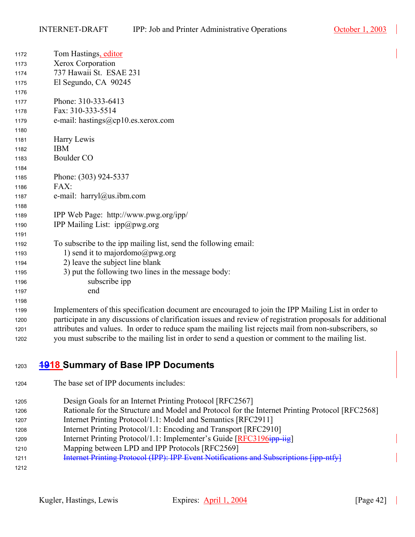| 1172 | Tom Hastings, editor                                                                                |
|------|-----------------------------------------------------------------------------------------------------|
| 1173 | Xerox Corporation                                                                                   |
| 1174 | 737 Hawaii St. ESAE 231                                                                             |
| 1175 | El Segundo, CA 90245                                                                                |
| 1176 |                                                                                                     |
| 1177 | Phone: 310-333-6413                                                                                 |
| 1178 | Fax: 310-333-5514                                                                                   |
| 1179 | e-mail: hastings@cp10.es.xerox.com                                                                  |
| 1180 |                                                                                                     |
| 1181 | Harry Lewis                                                                                         |
| 1182 | <b>IBM</b>                                                                                          |
| 1183 | Boulder CO                                                                                          |
| 1184 |                                                                                                     |
| 1185 | Phone: (303) 924-5337                                                                               |
| 1186 | FAX:                                                                                                |
| 1187 | e-mail: harryl@us.ibm.com                                                                           |
| 1188 |                                                                                                     |
| 1189 | IPP Web Page: http://www.pwg.org/ipp/                                                               |
| 1190 | <b>IPP Mailing List: ipp</b> $@pwg.org$                                                             |
| 1191 |                                                                                                     |
| 1192 | To subscribe to the ipp mailing list, send the following email:                                     |
| 1193 | 1) send it to majordomo@pwg.org                                                                     |
| 1194 | 2) leave the subject line blank                                                                     |
| 1195 | 3) put the following two lines in the message body:                                                 |
| 1196 | subscribe ipp                                                                                       |
| 1197 | end                                                                                                 |
| 1198 |                                                                                                     |
| 1199 | Implementers of this specification document are encouraged to join the IPP Mailing List in order to |

1200 participate in any discussions of clarification issues and review of registration proposals for additional 1201 attributes and values. In order to reduce spam the mailing list rejects mail from non-subscribers, so 1202 you must subscribe to the mailing list in order to send a question or comment to the mailing list.

# <span id="page-41-0"></span>**1918 Summary of Base IPP Documents**

The base set of IPP documents includes:

1205 Design Goals for an Internet Printing Protocol [RFC2567] 1206 Rationale for the Structure and Model and Protocol for the Internet Printing Protocol [RFC2568]

- 1207 Internet Printing Protocol/1.1: Model and Semantics [RFC2911] 1208 Internet Printing Protocol/1.1: Encoding and Transport [RFC2910]
- 1209 Internet Printing Protocol/1.1: Implementer's Guide [RFC3196ipp-iig]
- 1210 Mapping between LPD and IPP Protocols [RFC2569]
- **Internet Printing Protocol (IPP): IPP Event Notifications and Subscriptions [ipp-ntfy]**
-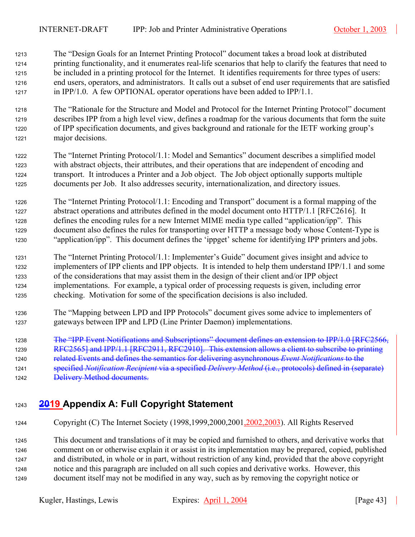- <sup>1213</sup>The "Design Goals for an Internet Printing Protocol" document takes a broad look at distributed 1214 printing functionality, and it enumerates real-life scenarios that help to clarify the features that need to 1215 be included in a printing protocol for the Internet. It identifies requirements for three types of users: 1216 end users, operators, and administrators. It calls out a subset of end user requirements that are satisfied 1217 in IPP/1.0. A few OPTIONAL operator operations have been added to IPP/1.1.
- <sup>1218</sup>The "Rationale for the Structure and Model and Protocol for the Internet Printing Protocol" document 1219 describes IPP from a high level view, defines a roadmap for the various documents that form the suite 1220 of IPP specification documents, and gives background and rationale for the IETF working group's 1221 major decisions.
- <sup>1222</sup>The "Internet Printing Protocol/1.1: Model and Semantics" document describes a simplified model 1223 with abstract objects, their attributes, and their operations that are independent of encoding and 1224 transport. It introduces a Printer and a Job object. The Job object optionally supports multiple 1225 documents per Job. It also addresses security, internationalization, and directory issues.
- 1226 The "Internet Printing Protocol/1.1: Encoding and Transport" document is a formal mapping of the 1227 abstract operations and attributes defined in the model document onto  $HTTP/1.1$  [RFC2616]. It 1228 defines the encoding rules for a new Internet MIME media type called "application/ipp". This 1229 document also defines the rules for transporting over HTTP a message body whose Content-Type is <sup>1230</sup>"application/ipp". This document defines the 'ippget' scheme for identifying IPP printers and jobs.
- <sup>1231</sup>The "Internet Printing Protocol/1.1: Implementer's Guide" document gives insight and advice to 1232 implementers of IPP clients and IPP objects. It is intended to help them understand IPP/1.1 and some 1233 of the considerations that may assist them in the design of their client and/or IPP object <sup>1234</sup>implementations. For example, a typical order of processing requests is given, including error <sup>1235</sup>checking. Motivation for some of the specification decisions is also included.
- <sup>1236</sup>The "Mapping between LPD and IPP Protocols" document gives some advice to implementers of 1237 gateways between IPP and LPD (Line Printer Daemon) implementations.
- 1238 The "IPP Event Notifications and Subscriptions" document defines an extension to IPP/1.0 [RFC2566,
- 1239 RFC2565] and IPP/1.1 [RFC2911, RFC2910]. This extension allows a client to subscribe to printing
- 1240 **related Events and defines the semantics for delivering asynchronous** *Event Notifications* **to the**
- 1241 specified *Notification Recipient* via a specified *Delivery Method* (i.e., protocols) defined in (separate)
- 1242 Delivery Method documents.

# <span id="page-42-0"></span><sup>1243</sup>**2019 Appendix A: Full Copyright Statement**

1244 Copyright (C) The Internet Society (1998,1999,2000,2001,2002,2003). All Rights Reserved

<sup>1245</sup>This document and translations of it may be copied and furnished to others, and derivative works that 1246 comment on or otherwise explain it or assist in its implementation may be prepared, copied, published 1247 and distributed, in whole or in part, without restriction of any kind, provided that the above copyright <sup>1248</sup>notice and this paragraph are included on all such copies and derivative works. However, this 1249 document itself may not be modified in any way, such as by removing the copyright notice or